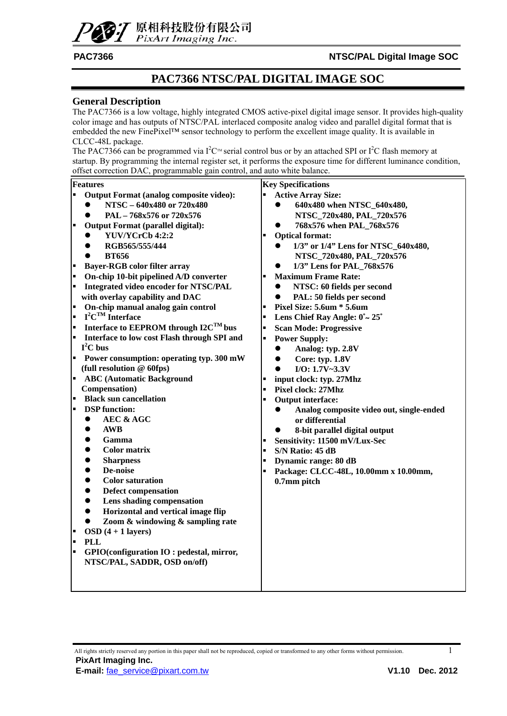

### **PAC7366 NTSC/PAL DIGITAL IMAGE SOC**

#### **General Description**

The PAC7366 is a low voltage, highly integrated CMOS active-pixel digital image sensor. It provides high-quality color image and has outputs of NTSC/PAL interlaced composite analog video and parallel digital format that is embedded the new FinePixel™ sensor technology to perform the excellent image quality. It is available in CLCC-48L package.

The PAC7366 can be programmed via  $I^2C^m$  serial control bus or by an attached SPI or  $I^2C$  flash memory at startup. By programming the internal register set, it performs the exposure time for different luminance condition, offset correction DAC, programmable gain control, and auto white balance.

|         | Features                                          |                | <b>Key Specifications</b>                              |
|---------|---------------------------------------------------|----------------|--------------------------------------------------------|
| Ŀ       | Output Format (analog composite video):           |                | <b>Active Array Size:</b>                              |
|         | NTSC - 640x480 or 720x480                         |                | 640x480 when NTSC_640x480,                             |
|         | PAL - 768x576 or 720x576                          |                | NTSC_720x480, PAL_720x576                              |
| F       | <b>Output Format (parallel digital):</b>          |                | 768x576 when PAL_768x576                               |
|         | YUV/YCrCb 4:2:2                                   |                | <b>Optical format:</b>                                 |
|         | RGB565/555/444                                    |                | 1/3" or 1/4" Lens for NTSC_640x480,                    |
|         | <b>BT656</b>                                      |                | NTSC_720x480, PAL_720x576                              |
| -       | <b>Bayer-RGB color filter array</b>               |                | 1/3" Lens for PAL_768x576<br>$\bullet$                 |
| ŀ       | On-chip 10-bit pipelined A/D converter            | $\blacksquare$ | <b>Maximum Frame Rate:</b>                             |
|         | <b>Integrated video encoder for NTSC/PAL</b>      |                | NTSC: 60 fields per second<br>$\bullet$                |
|         | with overlay capability and DAC                   |                | PAL: 50 fields per second<br>$\bullet$                 |
| E       | On-chip manual analog gain control                |                | Pixel Size: 5.6um * 5.6um                              |
| l.      | $I^2C^{TM}$ Interface                             | $\blacksquare$ | Lens Chief Ray Angle: $0^{\circ}$ $\sim$ 25 $^{\circ}$ |
| L       | Interface to EEPROM through I2C <sup>TM</sup> bus | ×              | <b>Scan Mode: Progressive</b>                          |
| F       | Interface to low cost Flash through SPI and       | ш              | <b>Power Supply:</b>                                   |
|         | $I^2C$ bus                                        |                | Analog: typ. 2.8V<br>$\bullet$                         |
| Ŀ       | Power consumption: operating typ. 300 mW          |                | Core: typ. 1.8V<br>$\bullet$                           |
|         | (full resolution $@$ 60fps)                       |                | I/O: 1.7V~3.3V<br>$\bullet$                            |
| ŀ.      | <b>ABC</b> (Automatic Background                  |                | input clock: typ. 27Mhz                                |
|         | Compensation)                                     |                | Pixel clock: 27Mhz                                     |
| ŀ.      | <b>Black sun cancellation</b>                     |                | <b>Output interface:</b>                               |
| L       | <b>DSP</b> function:                              |                | Analog composite video out, single-ended               |
|         | <b>AEC &amp; AGC</b><br>$\bullet$                 |                | or differential                                        |
|         | <b>AWB</b><br>$\bullet$                           |                | 8-bit parallel digital output<br>$\bullet$             |
|         | Gamma<br>$\bullet$                                | $\blacksquare$ | Sensitivity: 11500 mV/Lux-Sec                          |
|         | <b>Color matrix</b><br>$\bullet$                  | $\blacksquare$ | S/N Ratio: 45 dB                                       |
|         | <b>Sharpness</b><br>$\bullet$                     | $\blacksquare$ | Dynamic range: 80 dB                                   |
|         | De-noise<br>$\bullet$                             |                | Package: CLCC-48L, 10.00mm x 10.00mm,                  |
|         | <b>Color saturation</b><br>$\bullet$              |                | 0.7mm pitch                                            |
|         | <b>Defect compensation</b><br>$\bullet$           |                |                                                        |
|         | Lens shading compensation<br>$\bullet$            |                |                                                        |
|         | Horizontal and vertical image flip<br>$\bullet$   |                |                                                        |
|         | Zoom & windowing & sampling rate<br>$\bullet$     |                |                                                        |
| -<br> - | $OSD(4+1 layers)$                                 |                |                                                        |
|         | <b>PLL</b>                                        |                |                                                        |
| L       | GPIO(configuration IO: pedestal, mirror,          |                |                                                        |
|         | NTSC/PAL, SADDR, OSD on/off)                      |                |                                                        |
|         |                                                   |                |                                                        |
|         |                                                   |                |                                                        |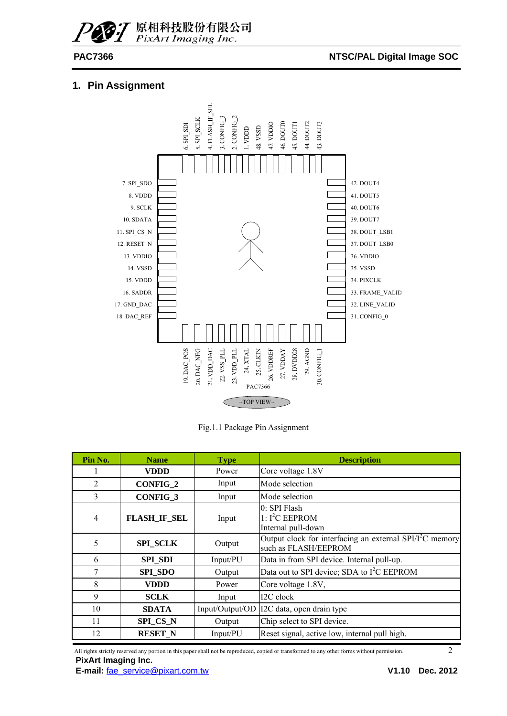#### PAC7366 **NTSC/PAL Digital Image SOC**

### **1. Pin Assignment**



Fig.1.1 Package Pin Assignment

| Pin No.        | <b>Name</b>         | <b>Type</b>     | <b>Description</b>                                                                |
|----------------|---------------------|-----------------|-----------------------------------------------------------------------------------|
|                | VDDD                | Power           | Core voltage 1.8V                                                                 |
| 2              | <b>CONFIG 2</b>     | Input           | Mode selection                                                                    |
| 3              | <b>CONFIG 3</b>     | Input           | Mode selection                                                                    |
| $\overline{4}$ | <b>FLASH_IF_SEL</b> | Input           | 0: SPI Flash<br>$1: I2C$ EEPROM<br>Internal pull-down                             |
| 5              | <b>SPI SCLK</b>     | Output          | Output clock for interfacing an external $SPI/I2C$ memory<br>such as FLASH/EEPROM |
| 6              | <b>SPI SDI</b>      | Input/PU        | Data in from SPI device. Internal pull-up.                                        |
| 7              | <b>SPI_SDO</b>      | Output          | Data out to SPI device; SDA to I <sup>2</sup> C EEPROM                            |
| 8              | <b>VDDD</b>         | Power           | Core voltage 1.8V,                                                                |
| 9              | <b>SCLK</b>         | Input           | I2C clock                                                                         |
| 10             | <b>SDATA</b>        | Input/Output/OD | I2C data, open drain type                                                         |
| 11             | <b>SPI CS N</b>     | Output          | Chip select to SPI device.                                                        |
| 12             | <b>RESET N</b>      | Input/PU        | Reset signal, active low, internal pull high.                                     |

All rights strictly reserved any portion in this paper shall not be reproduced, copied or transformed to any other forms without permission. 2 **PixArt Imaging Inc.**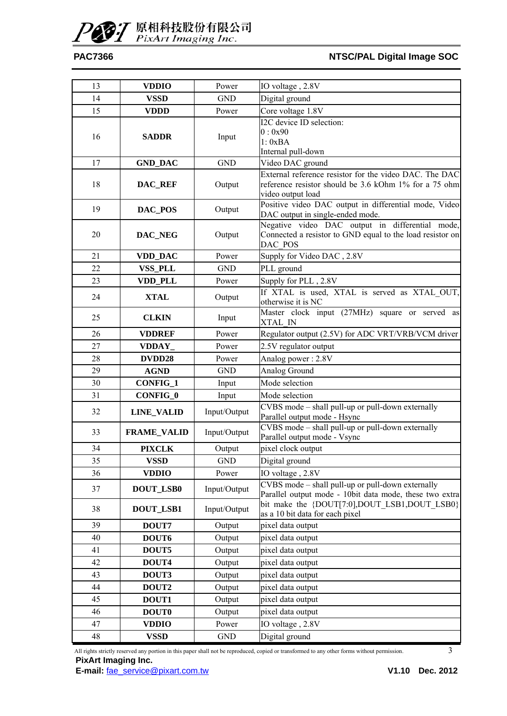### PAC7366 **NTSC/PAL Digital Image SOC**

| 13 | <b>VDDIO</b>       | Power        | IO voltage, 2.8V                                                                                                                     |
|----|--------------------|--------------|--------------------------------------------------------------------------------------------------------------------------------------|
| 14 | <b>VSSD</b>        | <b>GND</b>   | Digital ground                                                                                                                       |
| 15 | <b>VDDD</b>        | Power        | Core voltage 1.8V                                                                                                                    |
| 16 | <b>SADDR</b>       | Input        | I2C device ID selection:<br>0:0x90<br>1: 0xBA<br>Internal pull-down                                                                  |
| 17 | <b>GND_DAC</b>     | <b>GND</b>   | Video DAC ground                                                                                                                     |
| 18 | DAC_REF            | Output       | External reference resistor for the video DAC. The DAC<br>reference resistor should be 3.6 kOhm 1% for a 75 ohm<br>video output load |
| 19 | DAC_POS            | Output       | Positive video DAC output in differential mode, Video<br>DAC output in single-ended mode.                                            |
| 20 | DAC_NEG            | Output       | Negative video DAC output in differential mode,<br>Connected a resistor to GND equal to the load resistor on<br>DAC POS              |
| 21 | VDD_DAC            | Power        | Supply for Video DAC, 2.8V                                                                                                           |
| 22 | VSS_PLL            | <b>GND</b>   | PLL ground                                                                                                                           |
| 23 | VDD_PLL            | Power        | Supply for PLL, 2.8V                                                                                                                 |
| 24 | <b>XTAL</b>        | Output       | If XTAL is used, XTAL is served as XTAL OUT,<br>otherwise it is NC                                                                   |
| 25 | <b>CLKIN</b>       | Input        | Master clock input (27MHz) square or served as<br>XTAL IN                                                                            |
| 26 | <b>VDDREF</b>      | Power        | Regulator output (2.5V) for ADC VRT/VRB/VCM driver                                                                                   |
| 27 | VDDAY_             | Power        | 2.5V regulator output                                                                                                                |
| 28 | DVDD28             | Power        | Analog power: 2.8V                                                                                                                   |
| 29 | <b>AGND</b>        | <b>GND</b>   | Analog Ground                                                                                                                        |
| 30 | <b>CONFIG_1</b>    | Input        | Mode selection                                                                                                                       |
| 31 | CONFIG_0           | Input        | Mode selection                                                                                                                       |
| 32 | <b>LINE_VALID</b>  | Input/Output | CVBS mode - shall pull-up or pull-down externally<br>Parallel output mode - Hsync                                                    |
| 33 | <b>FRAME_VALID</b> | Input/Output | CVBS mode – shall pull-up or pull-down externally<br>Parallel output mode - Vsync                                                    |
| 34 | <b>PIXCLK</b>      | Output       | pixel clock output                                                                                                                   |
| 35 | VSSD               | <b>GND</b>   | Digital ground                                                                                                                       |
| 36 | <b>VDDIO</b>       | Power        | IO voltage, 2.8V                                                                                                                     |
| 37 | <b>DOUT_LSB0</b>   | Input/Output | CVBS mode - shall pull-up or pull-down externally<br>Parallel output mode - 10bit data mode, these two extra                         |
| 38 | <b>DOUT_LSB1</b>   | Input/Output | bit make the {DOUT[7:0],DOUT LSB1,DOUT LSB0}<br>as a 10 bit data for each pixel                                                      |
| 39 | DOUT7              | Output       | pixel data output                                                                                                                    |
| 40 | DOUT6              | Output       | pixel data output                                                                                                                    |
| 41 | DOUT5              | Output       | pixel data output                                                                                                                    |
| 42 | DOUT4              | Output       | pixel data output                                                                                                                    |
| 43 | DOUT3              | Output       | pixel data output                                                                                                                    |
| 44 | DOUT2              | Output       | pixel data output                                                                                                                    |
| 45 | DOUT1              | Output       | pixel data output                                                                                                                    |
| 46 | <b>DOUT0</b>       | Output       | pixel data output                                                                                                                    |
| 47 | <b>VDDIO</b>       | Power        | IO voltage, 2.8V                                                                                                                     |
| 48 | <b>VSSD</b>        | <b>GND</b>   | Digital ground                                                                                                                       |

All rights strictly reserved any portion in this paper shall not be reproduced, copied or transformed to any other forms without permission. 3 **PixArt Imaging Inc.**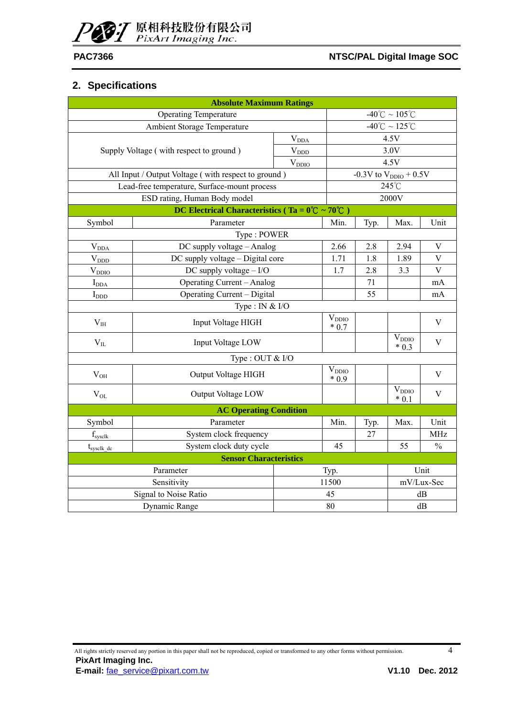

### **2. Specifications**

|                         | <b>Absolute Maximum Ratings</b>                                     |               |                      |                      |                            |               |  |  |  |
|-------------------------|---------------------------------------------------------------------|---------------|----------------------|----------------------|----------------------------|---------------|--|--|--|
|                         | -40°C ~ 105°C<br><b>Operating Temperature</b>                       |               |                      |                      |                            |               |  |  |  |
|                         | Ambient Storage Temperature                                         | -40°C ~ 125°C |                      |                      |                            |               |  |  |  |
|                         |                                                                     | $\rm V_{DDA}$ |                      |                      | 4.5V                       |               |  |  |  |
|                         | Supply Voltage (with respect to ground)                             | $V_{DDD}$     |                      |                      | 3.0V                       |               |  |  |  |
|                         |                                                                     | $V_{DDIO}$    |                      |                      | 4.5V                       |               |  |  |  |
|                         | All Input / Output Voltage (with respect to ground)                 |               |                      |                      | -0.3V to $V_{DDIO}$ + 0.5V |               |  |  |  |
|                         | Lead-free temperature, Surface-mount process                        |               |                      |                      | 245°C                      |               |  |  |  |
|                         | ESD rating, Human Body model                                        |               |                      |                      | 2000V                      |               |  |  |  |
|                         | DC Electrical Characteristics (Ta = $0^{\circ}C \sim 70^{\circ}C$ ) |               |                      |                      |                            |               |  |  |  |
| Symbol                  | Parameter                                                           |               | Min.                 | Typ.                 | Max.                       | Unit          |  |  |  |
|                         | Type: POWER                                                         |               |                      |                      |                            |               |  |  |  |
| $\rm V_{DDA}$           | DC supply voltage - Analog                                          |               | 2.66                 | 2.8                  | 2.94                       | $\mathbf V$   |  |  |  |
| $V_{DDD}$               | DC supply voltage - Digital core                                    |               | 1.71                 | 1.8                  | 1.89                       | $\mathbf V$   |  |  |  |
| $\rm V_{DDIO}$          | DC supply voltage $- I/O$                                           | 1.7           | 2.8                  | 3.3                  | V                          |               |  |  |  |
| $I_{DDA}$               | <b>Operating Current - Analog</b>                                   | 71            |                      | mA                   |                            |               |  |  |  |
| $I_{DDD}$               | Operating Current - Digital                                         |               | 55                   |                      | mA                         |               |  |  |  |
|                         | Type : IN $&$ I/O                                                   |               |                      |                      |                            |               |  |  |  |
| V <sub>IH</sub>         | Input Voltage HIGH                                                  |               | $V_{DDIO}$<br>$*0.7$ |                      |                            | $\mathbf V$   |  |  |  |
| $V_{IL}$                | Input Voltage LOW                                                   |               |                      |                      | $\rm V_{DDIO}$<br>$* 0.3$  | V             |  |  |  |
|                         | Type : OUT & I/O                                                    |               |                      |                      |                            |               |  |  |  |
| $V_{OH}$                | Output Voltage HIGH                                                 |               | $V_{DDIO}$<br>$*0.9$ |                      |                            | V             |  |  |  |
| $V_{OL}$                | Output Voltage LOW                                                  |               |                      | $V_{DDIO}$<br>$*0.1$ | $\mathbf V$                |               |  |  |  |
|                         | <b>AC Operating Condition</b>                                       |               |                      |                      |                            |               |  |  |  |
| Symbol                  | Parameter                                                           | Min.          | Typ.                 | Max.                 | Unit                       |               |  |  |  |
| $f_{\text{svs}$ clk     | System clock frequency                                              |               | <b>MHz</b>           |                      |                            |               |  |  |  |
| $t_{\text{sysclk\_dc}}$ | System clock duty cycle                                             |               | 45                   |                      | 55                         | $\frac{0}{0}$ |  |  |  |
|                         | <b>Sensor Characteristics</b>                                       |               |                      |                      |                            |               |  |  |  |
|                         | Parameter                                                           |               | Typ.                 |                      |                            | Unit          |  |  |  |
|                         | Sensitivity                                                         |               | 11500                |                      |                            | mV/Lux-Sec    |  |  |  |
|                         | Signal to Noise Ratio                                               |               | 45                   |                      | dB                         |               |  |  |  |
|                         | Dynamic Range                                                       | 80<br>dB      |                      |                      |                            |               |  |  |  |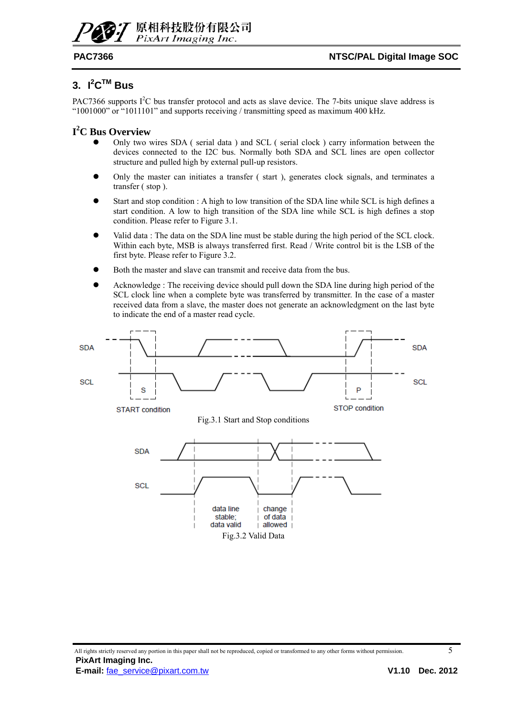

### **3. I<sup>2</sup> CTM Bus**

PAC7366 supports  $I^2C$  bus transfer protocol and acts as slave device. The 7-bits unique slave address is "1001000" or "1011101" and supports receiving / transmitting speed as maximum 400 kHz.

### **I 2 C Bus Overview**

- Only two wires SDA ( serial data ) and SCL ( serial clock ) carry information between the devices connected to the I2C bus. Normally both SDA and SCL lines are open collector structure and pulled high by external pull-up resistors.
- Only the master can initiates a transfer (start), generates clock signals, and terminates a transfer ( stop ).
- Start and stop condition : A high to low transition of the SDA line while SCL is high defines a start condition. A low to high transition of the SDA line while SCL is high defines a stop condition. Please refer to Figure 3.1.
- Valid data : The data on the SDA line must be stable during the high period of the SCL clock. Within each byte, MSB is always transferred first. Read / Write control bit is the LSB of the first byte. Please refer to Figure 3.2.
- Both the master and slave can transmit and receive data from the bus.
- Acknowledge : The receiving device should pull down the SDA line during high period of the SCL clock line when a complete byte was transferred by transmitter. In the case of a master received data from a slave, the master does not generate an acknowledgment on the last byte to indicate the end of a master read cycle.

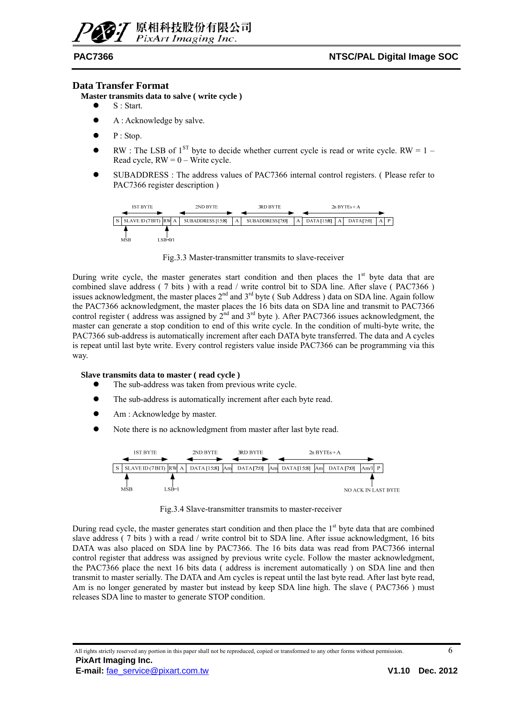## PixArt Imaging Inc

#### **Data Transfer Format**

**Master transmits data to salve ( write cycle )** 

- S : Start.
- A : Acknowledge by salve.
- P : Stop.
- RW : The LSB of  $1^{ST}$  byte to decide whether current cycle is read or write cycle. RW = 1 Read cycle,  $RW = 0 - Write cycle$ .
- SUBADDRESS : The address values of PAC7366 internal control registers. (Please refer to PAC7366 register description )

![](_page_5_Figure_10.jpeg)

Fig.3.3 Master-transmitter transmits to slave-receiver

During write cycle, the master generates start condition and then places the  $1<sup>st</sup>$  byte data that are combined slave address ( 7 bits ) with a read / write control bit to SDA line. After slave ( PAC7366 ) issues acknowledgment, the master places  $2<sup>nd</sup>$  and  $3<sup>rd</sup>$  byte (Sub Address) data on SDA line. Again follow the PAC7366 acknowledgment, the master places the 16 bits data on SDA line and transmit to PAC7366 control register ( address was assigned by  $2^{nd}$  and  $3^{rd}$  byte ). After PAC7366 issues acknowledgment, the master can generate a stop condition to end of this write cycle. In the condition of multi-byte write, the PAC7366 sub-address is automatically increment after each DATA byte transferred. The data and A cycles is repeat until last byte write. Every control registers value inside PAC7366 can be programming via this way.

#### **Slave transmits data to master ( read cycle )**

- The sub-address was taken from previous write cycle.
- The sub-address is automatically increment after each byte read.
- Am : Acknowledge by master.
- Note there is no acknowledgment from master after last byte read.

![](_page_5_Figure_18.jpeg)

Fig.3.4 Slave-transmitter transmits to master-receiver

During read cycle, the master generates start condition and then place the  $1<sup>st</sup>$  byte data that are combined slave address (7 bits) with a read / write control bit to SDA line. After issue acknowledgment, 16 bits DATA was also placed on SDA line by PAC7366. The 16 bits data was read from PAC7366 internal control register that address was assigned by previous write cycle. Follow the master acknowledgment, the PAC7366 place the next 16 bits data ( address is increment automatically ) on SDA line and then transmit to master serially. The DATA and Am cycles is repeat until the last byte read. After last byte read, Am is no longer generated by master but instead by keep SDA line high. The slave ( PAC7366 ) must releases SDA line to master to generate STOP condition.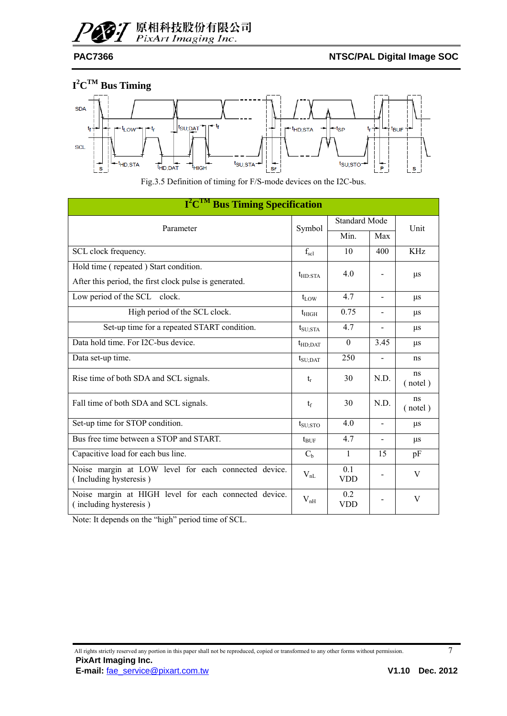![](_page_6_Picture_0.jpeg)

### **I 2 CTM Bus Timing**

![](_page_6_Figure_4.jpeg)

Fig.3.5 Definition of timing for F/S-mode devices on the I2C-bus.

| I <sup>2</sup> C <sup>TM</sup> Bus Timing Specification                         |                  |                      |                          |               |  |
|---------------------------------------------------------------------------------|------------------|----------------------|--------------------------|---------------|--|
| Parameter                                                                       | Symbol           | <b>Standard Mode</b> | Unit                     |               |  |
|                                                                                 |                  | Min.                 | Max                      |               |  |
| SCL clock frequency.                                                            | $f_{\rm scl}$    | 10                   | 400                      | KHz           |  |
| Hold time (repeated) Start condition.                                           | $t_{HD:STA}$     | 4.0                  |                          |               |  |
| After this period, the first clock pulse is generated.                          |                  |                      |                          | $\mu$ s       |  |
| Low period of the SCL clock.                                                    | $t_{\rm{LOW}}$   | 4.7                  | $\blacksquare$           | $\mu$ s       |  |
| High period of the SCL clock.                                                   | $t_{\rm HIGH}$   | 0.75                 |                          | μs            |  |
| Set-up time for a repeated START condition.                                     | $t_{\rm SU;STA}$ | 4.7                  | -                        | $\mu$ s       |  |
| Data hold time. For I2C-bus device.                                             | $t_{HD:DAT}$     | $\theta$             | 3.45                     | μs            |  |
| Data set-up time.                                                               | $t_{\rm SU;DAT}$ | 250                  | $\overline{\phantom{0}}$ | ns            |  |
| Rise time of both SDA and SCL signals.                                          | $t_{r}$          | 30                   | N.D.                     | ns<br>(notel) |  |
| Fall time of both SDA and SCL signals.                                          | $t_{\rm f}$      | 30                   | N.D.                     | ns<br>(notel) |  |
| Set-up time for STOP condition.                                                 | $t_{\rm SU;STO}$ | 4.0                  |                          | μs            |  |
| Bus free time between a STOP and START.                                         | $t_{\text{BUF}}$ | 4.7                  |                          | $\mu$ s       |  |
| Capacitive load for each bus line.                                              | C <sub>b</sub>   | 1                    | 15                       | pF            |  |
| Noise margin at LOW level for each connected device.<br>(Including hysteresis)  | $V_{nL}$         | 0.1<br><b>VDD</b>    |                          | V             |  |
| Noise margin at HIGH level for each connected device.<br>(including hysteresis) | $V_{nH}$         | 0.2<br><b>VDD</b>    |                          | V             |  |

Note: It depends on the "high" period time of SCL.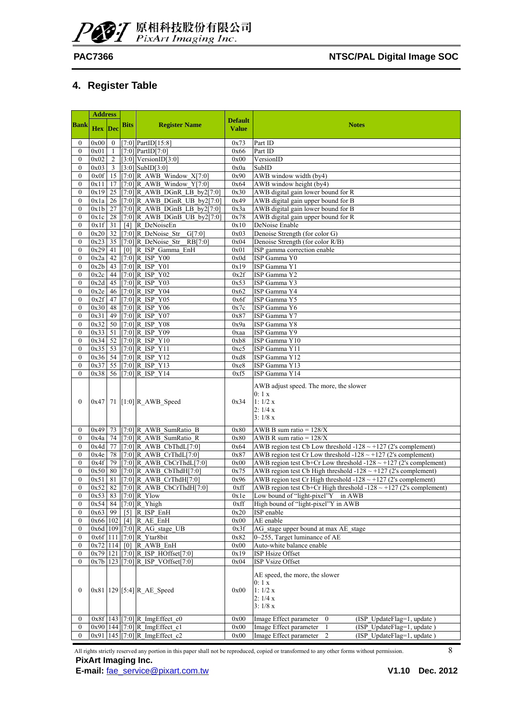![](_page_7_Picture_0.jpeg)

### **4. Register Table**

|                                  | <b>Address</b> |                |                   |                                                                        |                                |                                                                                            |
|----------------------------------|----------------|----------------|-------------------|------------------------------------------------------------------------|--------------------------------|--------------------------------------------------------------------------------------------|
| <b>Bank</b>                      | <b>Hex</b> Dec |                | <b>Bits</b>       | <b>Register Name</b>                                                   | <b>Default</b><br><b>Value</b> | <b>Notes</b>                                                                               |
| $\bf{0}$                         | 0x00           | $\mathbf{0}$   |                   | $[7:0]$ PartID $[15:8]$                                                | 0x73                           | Part ID                                                                                    |
| $\mathbf{0}$                     | 0x01           | 1              |                   | $[7:0]$ PartID $[7:0]$                                                 | 0x66                           | Part ID                                                                                    |
| $\mathbf{0}$                     | 0x02           | $\overline{2}$ |                   | $[3:0]$ VersionID $[3:0]$                                              | 0x00                           | VersionID                                                                                  |
| $\boldsymbol{0}$                 | 0x03           | $\overline{3}$ |                   | $[3:0]$ SubID $[3:0]$                                                  | 0x0a                           | SubID                                                                                      |
| $\boldsymbol{0}$                 | 0x0f           | 15             |                   | [7:0] R AWB Window $X[7:0]$                                            | 0x90                           | AWB window width (by4)                                                                     |
| $\mathbf{0}$                     | 0x11           | 17             |                   | [7:0] R AWB Window $Y[7:0]$                                            | 0x64                           | AWB window height (by4)                                                                    |
| $\mathbf{0}$                     | 0x19           | 25             |                   | $[7:0]$ R AWB DGnR LB by $2[7:0]$                                      | 0x30                           | AWB digital gain lower bound for R                                                         |
| $\boldsymbol{0}$                 | 0x1a           | 26             |                   | $[7:0]$ R AWB DGnR UB by2 $[7:0]$                                      | 0x49                           | AWB digital gain upper bound for B                                                         |
| $\boldsymbol{0}$<br>$\mathbf{0}$ | 0x1b<br>0x1c   | 27<br>28       |                   | $[7:0]$ R AWB DGnB LB by2 $[7:0]$<br>$[7:0]$ R AWB DGnB UB by2 $[7:0]$ | 0x3a                           | AWB digital gain lower bound for B<br>AWB digital gain upper bound for R                   |
| $\boldsymbol{0}$                 | 0x1f           | 31             |                   | $[4]$ R_DeNoiseEn                                                      | 0x78<br>0x10                   | DeNoise Enable                                                                             |
| $\boldsymbol{0}$                 | 0x20           | 32             |                   | $[7:0]$ R DeNoise Str<br>G[7:0]                                        | 0x03                           | Denoise Strength (for color G)                                                             |
| $\boldsymbol{0}$                 | 0x23           | 35             |                   | [7:0] R DeNoise Str $RB[7:0]$                                          | 0x04                           | Denoise Strength (for color R/B)                                                           |
| $\mathbf{0}$                     | 0x29           | 41             |                   | [0] R ISP Gamma EnH                                                    | 0x01                           | ISP gamma correction enable                                                                |
| $\boldsymbol{0}$                 | 0x2a           | 42             |                   | $[7:0]$ R ISP Y00                                                      | 0x0d                           | ISP Gamma Y0                                                                               |
| $\mathbf{0}$                     | 0x2b           | 43             |                   | $[7:0]$ R ISP Y01                                                      | 0x19                           | ISP Gamma Y1                                                                               |
| $\boldsymbol{0}$                 | 0x2c           | 44             |                   | $[7:0]$ R ISP Y02                                                      | 0x2f                           | ISP Gamma Y2                                                                               |
| $\mathbf{0}$                     | $0x2d$ 45      |                |                   | $[7:0]$ R ISP Y03                                                      | 0x53                           | ISP Gamma Y3                                                                               |
| $\boldsymbol{0}$                 | 0x2e           | 46             |                   | $[7:0]$ R ISP Y04                                                      | 0x62                           | ISP Gamma Y4                                                                               |
| $\mathbf{0}$                     | 0x2f           | 47             |                   | $[7:0]$ R ISP Y05                                                      | 0x6f                           | ISP Gamma Y5                                                                               |
| $\boldsymbol{0}$                 | 0x30           | 48             |                   | $[7:0]$ R ISP Y06                                                      | 0x7c                           | ISP Gamma Y6                                                                               |
| $\boldsymbol{0}$                 | 0x31           |                |                   | 49 [7:0] R ISP Y07                                                     | 0x87                           | ISP Gamma Y7                                                                               |
| $\mathbf{0}$                     | 0x32           | 50             |                   | $[7:0]$ R ISP Y08                                                      | 0x9a                           | ISP Gamma Y8                                                                               |
| $\boldsymbol{0}$                 | 0x33           | 51             |                   | $[7:0]$ R ISP Y09                                                      | 0xaa                           | ISP Gamma Y9                                                                               |
| $\boldsymbol{0}$                 | 0x34           | 52             |                   | $[7:0]$ R ISP Y10                                                      | 0xb8                           | ISP Gamma Y10                                                                              |
| $\mathbf{0}$                     | $0x35$ 53      |                |                   | $[7:0]$ R ISP Y11                                                      | 0xc5                           | ISP Gamma Y11                                                                              |
| $\boldsymbol{0}$                 | $0x36$ 54      |                |                   | $[7:0]$ R ISP Y12                                                      | 0xd8                           | ISP Gamma Y12                                                                              |
| $\boldsymbol{0}$                 | 0x37           | 55             |                   | $[7:0]$ R ISP Y13                                                      | 0xe8                           | ISP Gamma Y13                                                                              |
| $\theta$                         | 0x38           |                |                   | 56 [7:0] R ISP Y14                                                     | 0xf5                           | ISP Gamma Y14                                                                              |
| $\mathbf{0}$                     |                |                |                   | 0x47 71 [1:0] R_AWB_Speed                                              | 0x34                           | AWB adjust speed. The more, the slower<br>0:1 x<br>1:1/2 x<br>2:1/4x<br>3:1/8x             |
| $\mathbf{0}$                     | 0x49           | 73             |                   | $[7:0]$ R AWB SumRatio B                                               | 0x80                           | AWB B sum ratio = $128/X$                                                                  |
| $\mathbf{0}$                     | 0x4a           |                |                   | 74 [7:0] R_AWB_SumRatio_R                                              | 0x80                           | AWB R sum ratio = $128/X$                                                                  |
| $\boldsymbol{0}$                 | 0x4d           | 77             |                   | $[7:0]$ R AWB CbThdL $[7:0]$                                           | 0x64                           | AWB region test Cb Low threshold -128 $\sim$ +127 (2's complement)                         |
| $\boldsymbol{0}$                 | 0x4e           | 78             |                   | $[7:0]$ R AWB CrThdL $[7:0]$                                           | 0x87                           | AWB region test Cr Low threshold $-128 \sim +127$ (2's complement)                         |
| $\mathbf{0}$                     | 0x4f           | 79             |                   | $[7:0]$ R_AWB_CbCrThdL $[7:0]$                                         | 0x00                           | AWB region test Cb+Cr Low threshold $-128 \sim +127$ (2's complement)                      |
| $\boldsymbol{0}$                 | 0x50           | 80             |                   | $[7:0]$ R_AWB_CbThdH $[7:0]$                                           | 0x75                           | AWB region test Cb High threshold -128 $\sim$ +127 (2's complement)                        |
| $\boldsymbol{0}$                 | 0x51           | 81             |                   | $[7:0]$ R_AWB_CrThdH $[7:0]$                                           | 0x96                           | AWB region test Cr High threshold -128 $\sim$ +127 (2's complement)                        |
| $\theta$                         | 0x52           | 82             |                   | [7:0] R AWB CbCrThdH $[7:0]$                                           | 0xff                           | AWB region test Cb+Cr High threshold $-128 \sim +127$ (2's complement)                     |
| $\boldsymbol{0}$                 |                |                |                   | $0x53$ 83 [7:0] R_Ylow                                                 | 0x1e                           | Low bound of "light-pixel"Y in AWB                                                         |
| $\boldsymbol{0}$                 | 0x54           | 84             |                   | $[7:0]$ R_Yhigh                                                        | 0xff                           | High bound of "light-pixel"Y in AWB                                                        |
| $\boldsymbol{0}$                 | 0x63           | 99             | $\lceil 5 \rceil$ | R ISP EnH                                                              | 0x20                           | ISP enable                                                                                 |
| $\boldsymbol{0}$                 | 0x66 102       |                |                   | $[4]$ R_AE_EnH                                                         | 0x00                           | AE enable                                                                                  |
| $\boldsymbol{0}$                 | 0x6d 109       |                |                   | $[7:0]$ R AG stage UB                                                  | 0x3f                           | AG stage upper bound at max AE stage                                                       |
| $\boldsymbol{0}$                 | 0x6f 111       |                |                   | $[7:0]$ R Ytar8bit                                                     | 0x82                           | 0~255, Target luminance of AE                                                              |
| $\boldsymbol{0}$                 | 0x72 114       |                |                   | $[0]$ R_AWB_EnH                                                        | 0x00                           | Auto-white balance enable                                                                  |
| $\boldsymbol{0}$                 |                |                |                   | $0x79$ 121 [7:0] R ISP HOffset[7:0]                                    | 0x19                           | ISP Hsize Offset                                                                           |
| $\mathbf{0}$<br>$\boldsymbol{0}$ |                |                |                   | $0x7b$ 123 [7:0] R ISP VOffset[7:0]<br>0x81   129 [5:4] R_AE_Speed     | 0x04<br>0x00                   | ISP Vsize Offset<br>AE speed, the more, the slower<br>0:1 x<br>1:1/2 x<br>2:1/4x<br>3:1/8x |
| $\boldsymbol{0}$                 |                |                |                   | $0x8f$   143   [7:0] R ImgEffect c0                                    | 0x00                           | Image Effect parameter<br>(ISP UpdateFlag=1, update)<br>$\boldsymbol{0}$                   |
| $\bf{0}$                         |                |                |                   | 0x90 144 [7:0] R_ImgEffect_c1                                          | 0x00                           | Image Effect parameter<br>(ISP UpdateFlag=1, update)<br>1                                  |
| $\mathbf{0}$                     |                |                |                   | 0x91 145 [7:0] R_ImgEffect_c2                                          | 0x00                           | Image Effect parameter<br>$\overline{2}$<br>(ISP UpdateFlag=1, update)                     |

All rights strictly reserved any portion in this paper shall not be reproduced, copied or transformed to any other forms without permission. 8 **PixArt Imaging Inc.**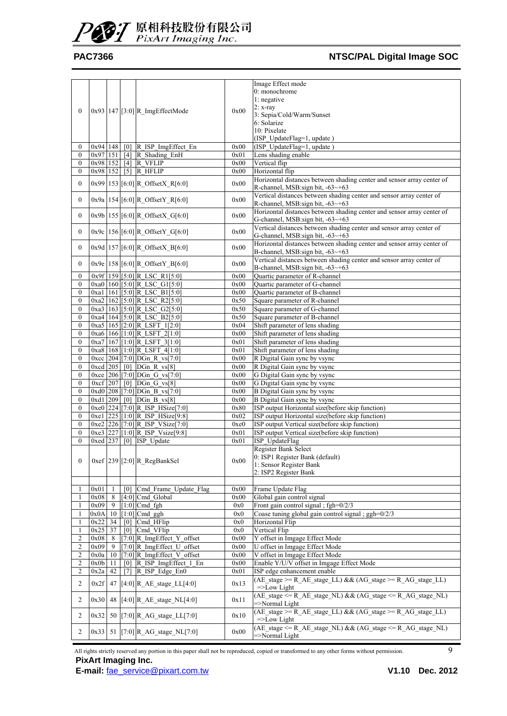### PAC7366 **NTSC/PAL Digital Image SOC**

| $\mathbf{0}$                       |              |          |                   | 0x93 147 [3:0] R_ImgEffectMode                             | 0x00         | Image Effect mode<br>0: monochrome<br>1: negative<br>$2: x-ray$<br>3: Sepia/Cold/Warm/Sunset<br>6: Solarize<br>10: Pixelate<br>(ISP_UpdateFlag=1, update)                          |
|------------------------------------|--------------|----------|-------------------|------------------------------------------------------------|--------------|------------------------------------------------------------------------------------------------------------------------------------------------------------------------------------|
| $\mathbf{0}$                       |              |          |                   | $0x94$   148   $[0]$   R ISP ImgEffect En                  | 0x00         | (ISP_UpdateFlag=1, update)                                                                                                                                                         |
| $\mathbf{0}$                       | 0x97 151     |          |                   | [4] R Shading EnH                                          | 0x01         | Lens shading enable                                                                                                                                                                |
| $\boldsymbol{0}$                   | 0x98 152     |          |                   | $[4]$ R VFLIP                                              | 0x00         | Vertical flip                                                                                                                                                                      |
| $\boldsymbol{0}$                   | 0x98 152     |          | $\lceil 5 \rceil$ | R HFLIP                                                    | 0x00         | Horizontal flip                                                                                                                                                                    |
| $\mathbf{0}$                       |              |          |                   | 0x99 153 [6:0] R_OffsetX_R[6:0]                            | 0x00         | Horizontal distances between shading center and sensor array center of<br>R-channel, MSB:sign bit, -63~+63                                                                         |
| $\mathbf{0}$                       |              |          |                   | $0x9a$ 154 [6:0] R_OffsetY_R[6:0]                          | 0x00         | Vertical distances between shading center and sensor array center of<br>R-channel, MSB:sign bit, -63~+63                                                                           |
| $\mathbf{0}$                       |              |          |                   | 0x9b 155 [6:0] R_OffsetX_G[6:0]                            | 0x00         | Horizontal distances between shading center and sensor array center of<br>G-channel, MSB:sign bit, -63~+63                                                                         |
| $\boldsymbol{0}$                   |              |          |                   | $0x9c$   156 $[6:0]$ R_OffsetY_G[6:0]                      | 0x00         | Vertical distances between shading center and sensor array center of<br>G-channel, MSB:sign bit, -63~+63<br>Horizontal distances between shading center and sensor array center of |
| $\boldsymbol{0}$                   |              |          |                   | 0x9d 157 [6:0] R_OffsetX_B[6:0]                            | 0x00         | B-channel, MSB:sign bit, -63~+63<br>Vertical distances between shading center and sensor array center of                                                                           |
| $\mathbf{0}$                       |              |          |                   | $0x9e$   158 [6:0] R_OffsetY_B[6:0]                        | 0x00         | B-channel, MSB:sign bit, -63~+63                                                                                                                                                   |
| $\boldsymbol{0}$                   |              |          |                   | 0x9f 159 [5:0] R LSC R1[5:0]                               | 0x00         | Quartic parameter of R-channel                                                                                                                                                     |
| $\mathbf{0}$                       |              |          |                   | 0xa0 160 [5:0] R LSC G1[5:0]                               | 0x00         | Quartic parameter of G-channel                                                                                                                                                     |
| $\boldsymbol{0}$                   |              |          |                   | 0xa1 161 [5:0] R LSC B1[5:0]                               | 0x00         | Quartic parameter of B-channel                                                                                                                                                     |
| $\boldsymbol{0}$                   |              |          |                   | 0xa2 162 [5:0] R LSC R2[5:0]                               | 0x50         | Square parameter of R-channel                                                                                                                                                      |
| $\boldsymbol{0}$                   |              |          |                   | 0xa3 163 [5:0] R LSC G2[5:0]                               | 0x50         | Square parameter of G-channel                                                                                                                                                      |
| $\mathbf{0}$                       |              |          |                   | 0xa4 164 [5:0] R LSC B2[5:0]                               | 0x50         | Square parameter of B-channel                                                                                                                                                      |
| $\mathbf{0}$                       |              |          |                   | 0xa5   165 [2:0] R_LSFT_1[2:0]                             | 0x04         | Shift parameter of lens shading                                                                                                                                                    |
| $\boldsymbol{0}$                   |              |          |                   | 0xa6 166 [1.0] R LSFT 2[1.0]                               | 0x00         | Shift parameter of lens shading                                                                                                                                                    |
| $\boldsymbol{0}$                   |              |          |                   | 0xa7 167 [1:0] R_LSFT_3[1:0]                               | 0x01         | Shift parameter of lens shading                                                                                                                                                    |
| $\mathbf{0}$                       |              |          |                   | 0xa8 168 [1:0] R LSFT_4[1:0]                               | 0x01         | Shift parameter of lens shading                                                                                                                                                    |
| $\mathbf{0}$                       |              |          |                   | 0xcc 204 [7:0] DGn R vs[7:0]                               | 0x00         | R Digital Gain sync by vsync                                                                                                                                                       |
| $\boldsymbol{0}$                   |              |          |                   | 0xcd 205 [0] DGn_R_vs[8]                                   | 0x00         | R Digital Gain sync by vsync                                                                                                                                                       |
| $\boldsymbol{0}$                   |              |          |                   | 0xce 206 [7:0] DGn_G_vs[7:0]                               | 0x00         | G Digital Gain sync by vsync                                                                                                                                                       |
| $\boldsymbol{0}$<br>$\mathbf{0}$   |              |          |                   | 0xcf 207 [0] DGn G_vs[8]<br>$0xd0$ 208 [7:0] DGn B vs[7:0] | 0x00<br>0x00 | G Digital Gain sync by vsync<br>B Digital Gain sync by vsync                                                                                                                       |
| $\boldsymbol{0}$                   | $0xd1$ 209   |          |                   | $[0]$ DGn_B_vs $[8]$                                       | 0x00         | B Digital Gain sync by vsync                                                                                                                                                       |
| $\boldsymbol{0}$                   |              |          |                   | $0xe0$ 224 [7:0] R ISP HSize[7:0]                          | 0x80         | ISP output Horizontal size(before skip function)                                                                                                                                   |
| $\mathbf{0}$                       |              |          |                   | $0xe1$ 225 [1:0] R ISP HSize[9:8]                          | 0x02         | ISP output Horizontal size(before skip function)                                                                                                                                   |
| $\mathbf{0}$                       |              |          |                   | 0xe2 226 [7:0] R_ISP_VSize[7:0]                            | 0xe0         | ISP output Vertical size(before skip function)                                                                                                                                     |
| $\mathbf{0}$                       |              |          |                   | 0xe3 227 [1:0] R_ISP_Vsize[9:8]                            | 0x01         | ISP output Vertical size(before skip function)                                                                                                                                     |
| $\mathbf{0}$                       | $0xed$ 237   |          |                   | [0] ISP Update                                             | 0x01         | ISP UpdateFlag                                                                                                                                                                     |
|                                    |              |          |                   |                                                            |              | Register Bank Select                                                                                                                                                               |
| $\boldsymbol{0}$                   |              |          |                   | 0xef 239 [2:0] R_RegBankSel                                | 0x00         | 0: ISP1 Register Bank (default)<br>1: Sensor Register Bank                                                                                                                         |
|                                    |              |          |                   |                                                            |              | 2: ISP2 Register Bank                                                                                                                                                              |
|                                    |              |          |                   |                                                            |              |                                                                                                                                                                                    |
|                                    | 0x01         | 1        |                   | [0] Cmd_Frame_Update_Flag                                  | 0x00         | Frame Update Flag                                                                                                                                                                  |
| 1                                  | 0x08         | 8        |                   | [4:0] Cmd Global                                           | 0x00         | Global gain control signal                                                                                                                                                         |
| 1                                  | 0x09         | 9        |                   | $[1:0]$ Cmd fgh                                            | 0x0          | Front gain control signal; $fgh=0/2/3$                                                                                                                                             |
|                                    | 0x0A         | 10       |                   | $[1:0]$ Cmd ggh                                            | 0x0          | Coase tuning global gain control signal; ggh=0/2/3                                                                                                                                 |
|                                    | 0x22         | 34       | [0]               | Cmd HFlip                                                  | 0x0          | Horizontal Flip                                                                                                                                                                    |
|                                    | $0x25$ 37    |          | [0]               | Cmd VFlip                                                  | 0x0          | Vertical Flip                                                                                                                                                                      |
| $\overline{2}$                     | 0x08         | 8        |                   | $[7:0]$ R ImgEffect Y offset                               | 0x00         | Y offset in Imgage Effect Mode                                                                                                                                                     |
| $\overline{c}$                     | 0x09         | 9        |                   | [7:0] R_ImgEffect_U_offset                                 | 0x00         | U offset in Imgage Effect Mode                                                                                                                                                     |
| $\overline{2}$                     | 0x0a         | 10       |                   | [7:0] R_ImgEffect_V_offset                                 | 0x00         | V offset in Imgage Effect Mode                                                                                                                                                     |
| $\boldsymbol{2}$<br>$\overline{2}$ | 0x0b<br>0x2a | 11<br>42 | [0]<br>[7]        | R ISP ImgEffect 1 En<br>R_ISP_Edge_En0                     | 0x00<br>0x01 | Enable Y/U/V offset in Imgage Effect Mode<br>ISP edge enhancement enable                                                                                                           |
| 2                                  | 0x2f         | 47       |                   | $[4:0]$ R_AE_stage_LL $[4:0]$                              | 0x13         | $(AE_{\text{stage}} \geq R_{\text{A}}E_{\text{stage}}LL)$ & & $(AG_{\text{stage}} \geq R_{\text{A}}G_{\text{stage}}LL)$<br>$=\geq$ Low Light                                       |
| 2                                  | 0x30         | 48       |                   | $[4:0]$ R_AE_stage_NL $[4:0]$                              | 0x11         | (AE stage $\leq$ R AE stage NL) & & (AG stage $\leq$ R AG stage NL)<br>$=\nImes$ =>Normal Light                                                                                    |
| 2                                  | 0x32         |          |                   | 50 [7:0] R_AG_stage_LL[7:0]                                | 0x10         | (AE stage $>= R$ AE stage LL) & & (AG stage $>= R$ AG stage LL)<br>$=\geq$ Low Light                                                                                               |
| 2                                  |              |          |                   | 0x33 51 [7:0] R_AG_stage_NL[7:0]                           | 0x00         | (AE stage $\leq$ R AE stage NL) & & (AG stage $\leq$ R AG stage NL)<br>$=\nImes$ =>Normal Light                                                                                    |

All rights strictly reserved any portion in this paper shall not be reproduced, copied or transformed to any other forms without permission. 9 **PixArt Imaging Inc.**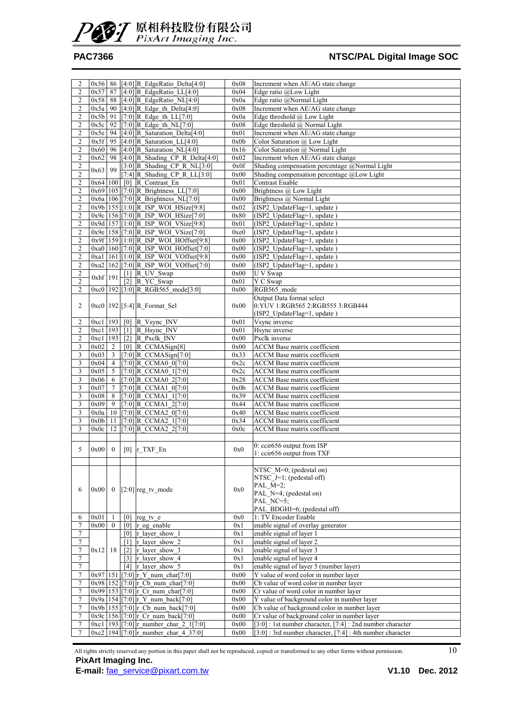![](_page_9_Picture_0.jpeg)

| 2                       |           |                |                   | 0x56 86 [4:0] R_EdgeRatio_Delta[4:0]               | 0x08 | Increment when AE/AG state change                          |
|-------------------------|-----------|----------------|-------------------|----------------------------------------------------|------|------------------------------------------------------------|
| $\overline{2}$          | 0x57      | 87             |                   | $[4:0]$ R EdgeRatio LL $[4:0]$                     | 0x04 | Edge ratio @Low Light                                      |
| $\overline{c}$          | 0x58      | 88             |                   | $[4:0]$ R EdgeRatio NL $[4:0]$                     | 0x0a | Edge ratio @Normal Light                                   |
|                         |           |                |                   |                                                    |      |                                                            |
| 2                       |           |                |                   | 0x5a 90 $[4:0]$ R Edge th Delta $[4:0]$            | 0x08 | Increment when AE/AG state change                          |
| $\overline{c}$          | $0x5b$ 91 |                |                   | $[7:0]$ R Edge th LL $[7:0]$                       | 0x0a | Edge threshold $@$ Low Light                               |
| $\overline{c}$          | 0x5c      | 92             |                   | [7:0] R Edge th $NL[7:0]$                          | 0x08 | Edge threshold @ Normal Light                              |
| $\overline{c}$          | 0x5e      | 94             |                   | $[4:0]$ R Saturation Delta $[4:0]$                 | 0x01 | Increment when AE/AG state change                          |
| $\sqrt{2}$              |           |                |                   | $0x5f$ 95 [4:0] R Saturation LL[4:0]               | 0x0b | Color Saturation @ Low Light                               |
|                         |           |                |                   |                                                    |      |                                                            |
| $\overline{c}$          | $0x60$ 96 |                |                   | $[4:0]$ R Saturation NL $[4:0]$                    | 0x16 | Color Saturation @ Normal Light                            |
| $\overline{c}$          | 0x62      | 98             |                   | [4:0] R Shading CP R Delta[4:0]                    | 0x02 | Increment when AE/AG state change                          |
| $\overline{c}$          |           |                |                   | $[3:0]$ R_Shading_CP_R_NL $[3:0]$                  | 0x0f | Shading compensation percentage @Normal Light              |
| $\sqrt{2}$              | 0x63      | 99             |                   | [7:4] R Shading CP R $LL[3:0]$                     | 0x00 | Shading compensation percentage @Low Light                 |
|                         |           |                |                   |                                                    |      |                                                            |
| $\sqrt{2}$              | 0x64 100  |                |                   | [0] R_Contrast_En                                  | 0x01 | <b>Contrast Enable</b>                                     |
| $\overline{c}$          |           |                |                   | 0x69 105 [7:0] R Brightness LL[7:0]                | 0x00 | Brightness @ Low Light                                     |
| $\mathfrak{2}$          |           |                |                   | 0x6a   106   [7:0] R Brightness NL [7:0]           | 0x00 | Brightness @ Normal Light                                  |
| $\sqrt{2}$              |           |                |                   | 0x9b 155 [1:0] R ISP WOI HSize[9:8]                | 0x02 | (ISP2 UpdateFlag=1, update)                                |
|                         |           |                |                   | 0x9c 156 [7:0] R ISP WOI HSize[7:0]                | 0x80 |                                                            |
| $\mathfrak{2}$          |           |                |                   |                                                    |      | (ISP2 UpdateFlag=1, update)                                |
| $\overline{c}$          |           |                |                   | 0x9d 157 [1:0] R_ISP_WOI_VSize[9:8]                | 0x01 | (ISP2_UpdateFlag=1, update)                                |
| $\sqrt{2}$              |           |                |                   | 0x9e   158 [7:0] R_ISP_WOI_VSize[7:0]              | 0xe0 | (ISP2_UpdateFlag=1, update)                                |
| $\mathfrak{2}$          |           |                |                   | 0x9f 159 [1:0] R_ISP_WOI_HOffset[9:8]              | 0x00 | (ISP2 UpdateFlag=1, update)                                |
| $\sqrt{2}$              |           |                |                   | 0xa0   160   [7:0] R_ISP_WOL_HOffset[7:0]          | 0x00 | (ISP2_UpdateFlag=1, update)                                |
|                         |           |                |                   |                                                    |      |                                                            |
| $\overline{2}$          |           |                |                   | 0xa1   161 [1:0] R_ISP_WOI_VOffset[9:8]            | 0x00 | (ISP2 UpdateFlag=1, update)                                |
| $\overline{c}$          |           |                |                   | 0xa2 162 [7:0] R ISP WOI VOffset[7:0]              | 0x00 | (ISP2 UpdateFlag=1, update)                                |
| $\overline{c}$          |           |                |                   | $[1]$ R UV Swap                                    | 0x00 | U V Swap                                                   |
| $\sqrt{2}$              | 0xbf 191  |                | $\lceil 2 \rceil$ | R YC Swap                                          | 0x01 | Y C Swap                                                   |
|                         |           |                |                   |                                                    |      |                                                            |
| $\overline{2}$          |           |                |                   | 0xc0 192 [3:0] R RGB565 mode[3:0]                  | 0x00 | RGB565 mode                                                |
|                         |           |                |                   |                                                    |      | Output Data format select                                  |
| $\overline{c}$          |           |                |                   | 0xc0   192 [5:4] R_Format_Sel                      | 0x00 | 0:YUV 1:RGB565 2:RGB555 3:RGB444                           |
|                         |           |                |                   |                                                    |      | (ISP2 UpdateFlag=1, update)                                |
|                         | 0xc1 193  |                |                   | $[0]$ R Vsync INV                                  |      | Vsync inverse                                              |
| $\overline{\mathbf{c}}$ |           |                |                   |                                                    | 0x01 |                                                            |
| $\overline{2}$          |           |                |                   | 0xc1   193 [1] R_Hsync_INV                         | 0x01 | Hsync inverse                                              |
| $\overline{c}$          | 0xc1 193  |                | $\lceil 2 \rceil$ | R Pxclk INV                                        | 0x00 | Pxclk inverse                                              |
| 3                       | 0x02      | 2              |                   | $[0]$ R CCMASign $[8]$                             | 0x00 | <b>ACCM</b> Base matrix coefficient                        |
| 3                       | 0x03      | $\overline{3}$ |                   | $[7:0]$ R_CCMASign $[7:0]$                         | 0x33 | <b>ACCM</b> Base matrix coefficient                        |
|                         |           |                |                   |                                                    |      |                                                            |
| $\mathfrak{Z}$          | 0x04      | $\overline{4}$ |                   | [7:0] R CCMA0 $0$ [7:0]                            | 0x2c | <b>ACCM</b> Base matrix coefficient                        |
| $\overline{\mathbf{3}}$ | 0x05      | 5              |                   | $[7:0]$ R CCMA0 1[7:0]                             | 0x2c | <b>ACCM</b> Base matrix coefficient                        |
| $\mathfrak{Z}$          | 0x06      | $\overline{6}$ |                   | $[7:0]$ R CCMA0 2[7:0]                             | 0x28 | ACCM Base matrix coefficient                               |
| 3                       | 0x07      | $\tau$         |                   | [7:0] R CCMA1 0[7:0]                               | 0x0b | <b>ACCM</b> Base matrix coefficient                        |
| $\mathfrak{Z}$          | 0x08      | 8              |                   | [7:0] R CCMA1 1[7:0]                               | 0x39 | <b>ACCM</b> Base matrix coefficient                        |
|                         |           |                |                   |                                                    |      |                                                            |
| $\overline{\mathbf{3}}$ | 0x09      | $\overline{9}$ |                   | $[7:0]$ R CCMA1 2[7:0]                             | 0x44 | <b>ACCM</b> Base matrix coefficient                        |
| $\sqrt{3}$              | $0x0a$ 10 |                |                   | $[7:0]$ R CCMA2 0[7:0]                             | 0x40 | <b>ACCM</b> Base matrix coefficient                        |
| $\sqrt{3}$              | 0x0b      | 11             |                   | $[7:0]$ R CCMA2 1[7:0]                             | 0x34 | ACCM Base matrix coefficient                               |
| 3                       | 0x0c      | 12             |                   | $[7:0]$ R_CCMA2_2 $[7:0]$                          | 0x0c | <b>ACCM</b> Base matrix coefficient                        |
|                         |           |                |                   |                                                    |      |                                                            |
|                         |           |                |                   |                                                    |      |                                                            |
| 5                       | 0x00      | $\mathbf{0}$   |                   | $[0]$ r_TXF_En                                     | 0x0  | 0: ccir656 output from ISP                                 |
|                         |           |                |                   |                                                    |      | 1: ccir656 output from TXF                                 |
|                         |           |                |                   |                                                    |      |                                                            |
|                         |           |                |                   |                                                    |      | NTSC M=0; (pedestal on)                                    |
|                         |           |                |                   |                                                    |      |                                                            |
|                         |           |                |                   |                                                    |      | NTSC $J=1$ ; (pedestal off)                                |
| 6                       | 0x00      |                |                   | $0$ [2:0] reg tv mode                              | 0x0  | PAL $M=2$ ;                                                |
|                         |           |                |                   |                                                    |      | PAL N=4; (pedestal on)                                     |
|                         |           |                |                   |                                                    |      | PAL NC=5:                                                  |
|                         |           |                |                   |                                                    |      | PAL BDGHI=6; (pedestal off)                                |
| 6                       | 0x01      | 1              |                   | $\overline{[0]}$ $\lvert \text{reg\_tv\_e} \rvert$ | 0x0  | 1: TV Encoder Enable                                       |
|                         |           |                |                   |                                                    |      |                                                            |
| 7                       | 0x00      | $\overline{0}$ |                   | $[0]$ r og enable                                  | 0x1  | enable signal of overlay generator                         |
| $\tau$                  |           |                |                   | $[0]$ r layer show 1                               | 0x1  | enable signal of layer 1                                   |
| $\tau$                  |           |                |                   | $\boxed{1}$ r layer show 2                         | 0x1  | enable signal of layer 2                                   |
| 7                       | $0x12$ 18 |                | $\lceil 2 \rceil$ | r layer show 3                                     | 0x1  | enable signal of laver 3                                   |
|                         |           |                |                   |                                                    |      |                                                            |
| $\tau$                  |           |                |                   | [3] r layer show 4                                 | 0x1  | enable signal of layer 4                                   |
| $\boldsymbol{7}$        |           |                |                   | $[4]$ r layer show 5                               | 0x1  | enable signal of layer 5 (number layer)                    |
| $\tau$                  | 0x97 151  |                |                   | $[7:0]$ r_Y_num_char $[7:0]$                       | 0x00 | Y value of word color in number layer                      |
| $\overline{7}$          |           |                |                   | 0x98 152 [7:0] r Cb num char [7:0]                 | 0x00 | Cb value of word color in number layer                     |
| $\tau$                  |           |                |                   | 0x99 153 [7:0] r Cr num char [7:0]                 | 0x00 | Cr value of word color in number layer                     |
|                         |           |                |                   |                                                    |      |                                                            |
| 7                       |           |                |                   | 0x9a   154   [7:0] $r Y$ num back [7:0]            | 0x00 | Y value of background color in number layer                |
| $\tau$                  |           |                |                   | 0x9b 155 [7:0] r Cb num back [7:0]                 | 0x00 | Cb value of background color in number layer               |
| $\overline{7}$          |           |                |                   | 0x9c 156 [7:0] r Cr num back [7:0]                 | 0x00 | Cr value of background color in number layer               |
| $\overline{7}$          |           |                |                   | 0xc1   193   [7:0] r number char 2 1[7:0]          | 0x00 | [3:0] : 1st number character, [7:4] : 2nd number character |
|                         |           |                |                   |                                                    |      |                                                            |
| 7                       |           |                |                   | $0xc2$ [194 [7:0] r number char 4 37:0]            | 0x00 | [3:0] : 3rd number character, [7:4] : 4th number character |

All rights strictly reserved any portion in this paper shall not be reproduced, copied or transformed to any other forms without permission. 10 **PixArt Imaging Inc.**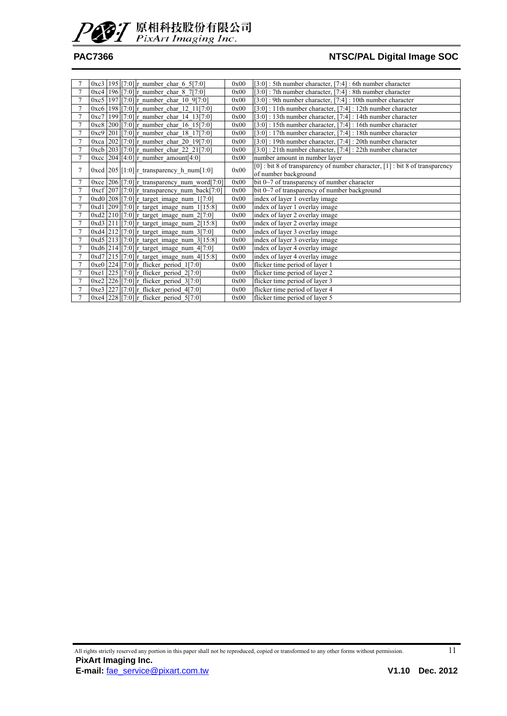![](_page_10_Picture_0.jpeg)

|                | 0xc3   195   [7:0] r number char 6 5 [7:0]              | 0x00 | $[3:0]$ : 5th number character, $[7:4]$ : 6th number character                   |
|----------------|---------------------------------------------------------|------|----------------------------------------------------------------------------------|
| 7              | $0xc4$   196 [7:0] r_number_char_8_7[7:0]               | 0x00 | $[3:0]$ : 7th number character, $[7:4]$ : 8th number character                   |
| 7              | $0xc5$ [197] [7:0] r number char 10 9[7:0]              | 0x00 | [3:0] : 9th number character, [7:4] : 10th number character                      |
| $\overline{7}$ | $0xc6$   198 $[7:0]$ r_number_char_12_11[7:0]           | 0x00 | $[3:0]$ : 11th number character, $[7:4]$ : 12th number character                 |
| $\overline{7}$ | $0xc7$ 199 [7:0] r number char 14 13[7:0]               | 0x00 | $[3:0]$ : 13th number character, $[7:4]$ : 14th number character                 |
| $\tau$         | $0xc8$ 200 [7:0] r number char 16 15 [7:0]              | 0x00 | [3:0] : 15th number character, [7:4] : 16th number character                     |
|                | $0xc9$ 201 [7:0] r_number_char_18_17[7:0]               | 0x00 | $[3:0]$ : 17th number character, $[7:4]$ : 18th number character                 |
| $\overline{7}$ | 0xca 202 [7:0] r number char 20 19 [7:0]                | 0x00 | [3:0] : 19th number character, [7:4] : 20th number character                     |
| $\tau$         | 0xcb 203 [7:0] r_number_char_22_21[7:0]                 | 0x00 | [3:0] : 21th number character, [7:4] : 22th number character                     |
| 7              | 0xcc 204 [4:0] r number amount [4:0]                    | 0x00 | number amount in number layer                                                    |
| 7              | $0 \times d$ [205] [1:0] r transparency h num [1:0]     | 0x00 | $[0]$ : bit 8 of transparency of number character, $[1]$ : bit 8 of transparency |
|                |                                                         |      | of number background                                                             |
|                | 0xce $[206][7:0]$ r transparency num word [7:0]         | 0x00 | bit 0~7 of transparency of number character                                      |
| 7              | 0xcf 207 [7:0] r_transparency_num_back[7:0]             | 0x00 | bit $0\sim$ 7 of transparency of number background                               |
| 7              | $0xd0$ 208 [7:0] r_target_image_num_1[7:0]              | 0x00 | index of layer 1 overlay image                                                   |
| 7              | 0xd1 209 [7:0] r_target_image_num_1[15:8]               | 0x00 | index of layer 1 overlay image                                                   |
| 7              | $0xd2$   210   [7:0] r target image num 2[7:0]          | 0x00 | index of layer 2 overlay image                                                   |
| $\tau$         | 0xd3 211 [7:0] r_target_image_num_2[15:8]               | 0x00 | index of layer 2 overlay image                                                   |
| $\tau$         | 0xd4 212 [7:0] r_target_image_num_3[7:0]                | 0x00 | index of layer 3 overlay image                                                   |
| 7              | 0xd5 213 [7:0] r target image num $3[15:8]$             | 0x00 | index of layer 3 overlay image                                                   |
| $\overline{7}$ | $0xd6$ 214 [7:0] $r_{target\_image\_num\_4[7:0]}$       | 0x00 | index of layer 4 overlay image                                                   |
| 7              | $0xd7$ 215 [7:0] r_target_image_num_4[15:8]             | 0x00 | index of layer 4 overlay image                                                   |
| 7              | $0xe0$ 224 [7:0] $r_f$ flicker period 1[7:0]            | 0x00 | flicker time period of layer 1                                                   |
| 7              | 0xe1 $ 225 $ [7:0] r flicker period 2[7:0]              | 0x00 | flicker time period of layer 2                                                   |
| $\tau$         | 0xe2 226 [7:0] r flicker period 3[7:0]                  | 0x00 | flicker time period of layer 3                                                   |
| $\tau$         | 0xe3 $\left[ 227 \right]$ [7:0] r_flicker_period_4[7:0] | 0x00 | flicker time period of layer 4                                                   |
|                | 0xe4 228 [7:0] r_flicker_period_5[7:0]                  | 0x00 | flicker time period of layer 5                                                   |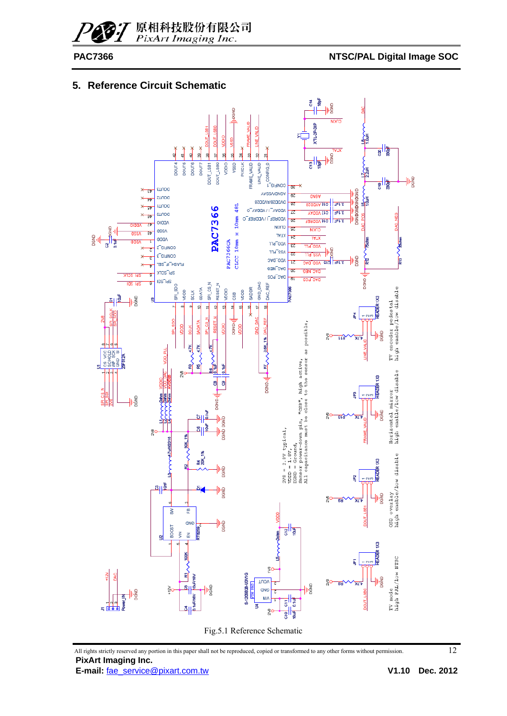### **5. Reference Circuit Schematic**

![](_page_11_Figure_4.jpeg)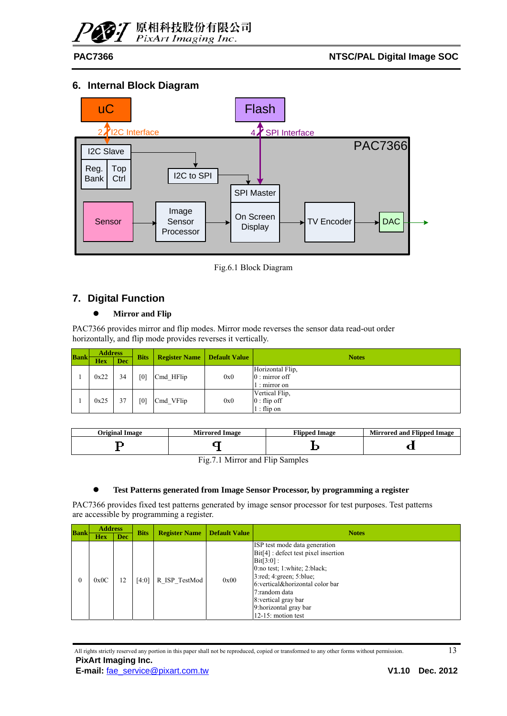![](_page_12_Picture_0.jpeg)

#### **6. Internal Block Diagram**

![](_page_12_Figure_4.jpeg)

Fig.6.1 Block Diagram

### **7. Digital Function**

#### $\bullet$  Mirror and Flip

PAC7366 provides mirror and flip modes. Mirror mode reverses the sensor data read-out order horizontally, and flip mode provides reverses it vertically.

| <b>Bank</b> | <b>Address</b> |            |             |                      |                      |                        |  |
|-------------|----------------|------------|-------------|----------------------|----------------------|------------------------|--|
|             | <b>Hex</b>     | <b>Dec</b> | <b>Bits</b> | <b>Register Name</b> | <b>Default Value</b> | <b>Notes</b>           |  |
|             |                |            |             |                      |                      | Horizontal Flip,       |  |
|             | 0x22           | 34         | [0]         | Cmd HFlip            | 0x0                  | $0:$ mirror off        |  |
|             |                |            |             |                      |                      | $\therefore$ mirror on |  |
|             |                |            |             |                      |                      | Vertical Flip,         |  |
|             | 0x25           | 37         | [0]         | Cmd VFlip            | 0x0                  | $0:$ flip off          |  |
|             |                |            |             |                      |                      | $1:$ flip on           |  |

| Original Image | <b>Mirrored Image</b> | <b>Tlipped Image</b> | <b>Mirrored and Flipped Image</b> |
|----------------|-----------------------|----------------------|-----------------------------------|
|                |                       |                      |                                   |

Fig.7.1 Mirror and Flip Samples

#### z **Test Patterns generated from Image Sensor Processor, by programming a register**

PAC7366 provides fixed test patterns generated by image sensor processor for test purposes. Test patterns are accessible by programming a register.

| <b>Bank</b> | <b>Address</b> |     | <b>Bits</b> | <b>Register Name</b> | <b>Default Value</b> | <b>Notes</b>                                                                                                                                                                                                                                                                                 |
|-------------|----------------|-----|-------------|----------------------|----------------------|----------------------------------------------------------------------------------------------------------------------------------------------------------------------------------------------------------------------------------------------------------------------------------------------|
|             | <b>Hex</b>     | Dec |             |                      |                      |                                                                                                                                                                                                                                                                                              |
|             | 0x0C           | 12  | [4:0]       | R ISP TestMod        | 0x00                 | ISP test mode data generation<br>$Bit[4]$ : defect test pixel insertion<br>$Bit[3:0]$ :<br>0:no test; 1:white; 2:black;<br>$3:$ red; $4:$ green; $5:$ blue;<br>6: vertical&horizontal color bar<br>7: random data<br>8: vertical gray bar<br>9: horizontal gray bar<br>$12-15$ : motion test |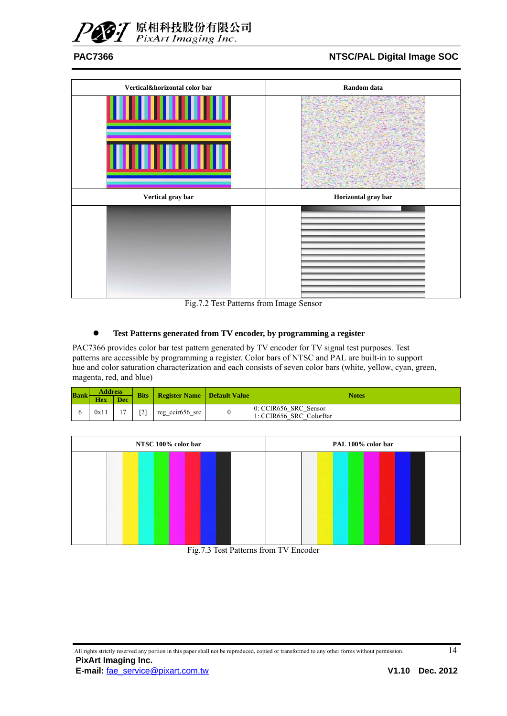![](_page_13_Picture_0.jpeg)

![](_page_13_Figure_3.jpeg)

Fig.7.2 Test Patterns from Image Sensor

#### z **Test Patterns generated from TV encoder, by programming a register**

PAC7366 provides color bar test pattern generated by TV encoder for TV signal test purposes. Test patterns are accessible by programming a register. Color bars of NTSC and PAL are built-in to support hue and color saturation characterization and each consists of seven color bars (white, yellow, cyan, green, magenta, red, and blue)

| <b>Bank</b> | <b>Address</b><br><b>Hex</b><br><b>Dec</b> |                | <b>Bits</b> | Register Name Default Value | Notes                                            |
|-------------|--------------------------------------------|----------------|-------------|-----------------------------|--------------------------------------------------|
|             | 0x11                                       | $\overline{ }$ | [2]         | reg_ccir656_src             | 0: CCIR656 SRC Sensor<br>1: CCIR656 SRC ColorBar |

| NTSC 100% color bar |                                                                                                                                                | PAL 100% color bar         |  |  |  |  |  |
|---------------------|------------------------------------------------------------------------------------------------------------------------------------------------|----------------------------|--|--|--|--|--|
|                     |                                                                                                                                                |                            |  |  |  |  |  |
|                     |                                                                                                                                                |                            |  |  |  |  |  |
|                     |                                                                                                                                                |                            |  |  |  |  |  |
|                     |                                                                                                                                                |                            |  |  |  |  |  |
|                     |                                                                                                                                                |                            |  |  |  |  |  |
|                     | $\mathbf{r}$ $\mathbf{r}$ $\mathbf{r}$ $\mathbf{r}$ $\mathbf{r}$ $\mathbf{r}$ $\mathbf{r}$ $\mathbf{r}$ $\mathbf{r}$ $\mathbf{r}$ $\mathbf{r}$ | T(X, Y, T)<br>$\mathbf{1}$ |  |  |  |  |  |

Fig.7.3 Test Patterns from TV Encoder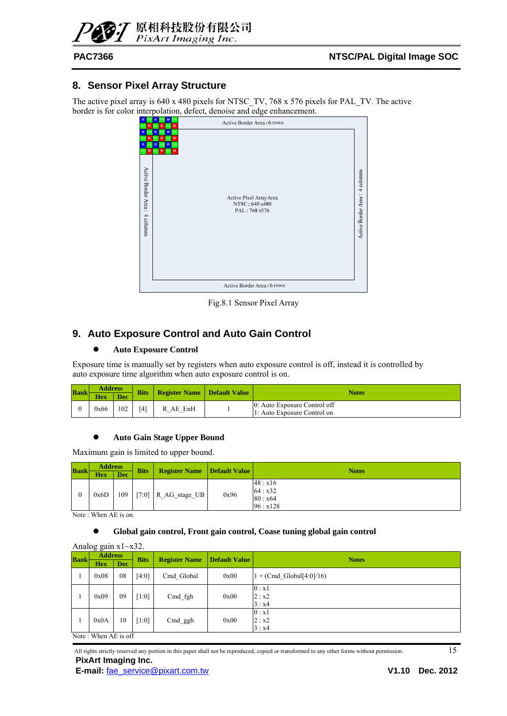![](_page_14_Picture_0.jpeg)

#### **8. Sensor Pixel Array Structure**

The active pixel array is 640 x 480 pixels for NTSC\_TV, 768 x 576 pixels for PAL\_TV. The active border is for color interpolation, defect, denoise and edge enhancement.

| R<br>GF<br>Gr<br>$\mathbf R$                                                                                 | ,<br>.<br>ب<br>$\bf{B}$<br>B<br>Gb<br>Gb<br>Active Border Area: 6 rows<br>$\mathbf R$<br>Gr<br>$\mathbf R$<br>Gr                                                                                                                                                      |                                  |
|--------------------------------------------------------------------------------------------------------------|-----------------------------------------------------------------------------------------------------------------------------------------------------------------------------------------------------------------------------------------------------------------------|----------------------------------|
| B<br>Gb<br>$\mathbb R$<br>G<br>$\bf{B}$<br>$\mathbf{G}$ b<br>$_{\rm Gr}$<br>Active Border Area:<br>4 columns | $\, {\bf B}$<br>${\bf G}{\bf b}$<br>$\mathbf{B}$<br>Gb<br>$\mathbf R$<br>Gr<br>Gr<br>$\mathbf R$<br>Gb<br>$\bf{B}$<br>$\bf{B}$<br>Gb<br>$\mathbf R$<br>R Gr<br>$\mathbf{R}$<br>$\overline{\mathbf{G}}$ r<br>Active Pixel ArrayArea<br>NTSC: 640 x480<br>PAL: 768 x576 | 4 columns<br>Active Border Area: |
|                                                                                                              | Active Border Area: 6 rows                                                                                                                                                                                                                                            |                                  |

Fig.8.1 Sensor Pixel Array

#### **9. Auto Exposure Control and Auto Gain Control**

#### $\bullet$  Auto Exposure Control

Exposure time is manually set by registers when auto exposure control is off, instead it is controlled by auto exposure time algorithm when auto exposure control is on.

| <b>Bank</b> | <b>Address</b> |            |     | <b>Bits</b>   Register Name   Default Value | Notes                                                       |  |  |  |
|-------------|----------------|------------|-----|---------------------------------------------|-------------------------------------------------------------|--|--|--|
|             | <b>Hex</b>     | <b>Dec</b> |     |                                             |                                                             |  |  |  |
|             | 0x66           | 102        | (4) | R AE EnH                                    | 0: Auto Exposure Control off<br>1: Auto Exposure Control on |  |  |  |

#### z **Auto Gain Stage Upper Bound**

Maximum gain is limited to upper bound.

| <b>Bank</b> | <b>Address</b> |            | <b>Bits</b> |                        | <b>Register Name Default Value</b> | <b>Notes</b>                               |  |  |  |
|-------------|----------------|------------|-------------|------------------------|------------------------------------|--------------------------------------------|--|--|--|
|             | <b>Hex</b>     | <b>Dec</b> |             |                        |                                    |                                            |  |  |  |
|             | 0x6D           | 109        |             | [7:0] $R_AG_{stage}UB$ | 0x96                               | 48: x16<br>64: x32<br>80 : x64<br>96: x128 |  |  |  |

Note : When AE is on.

#### Global gain control, Front gain control, Coase tuning global gain control

|             | Analog gain $x1 \sim x32$ . |            |             |                      |                      |                                    |  |  |  |  |  |
|-------------|-----------------------------|------------|-------------|----------------------|----------------------|------------------------------------|--|--|--|--|--|
| <b>Bank</b> | <b>Address</b>              |            | <b>Bits</b> | <b>Register Name</b> | <b>Default Value</b> | <b>Notes</b>                       |  |  |  |  |  |
|             | <b>Hex</b>                  | <b>Dec</b> |             |                      |                      |                                    |  |  |  |  |  |
| -1          | 0x08                        | 08         | [4:0]       | Cmd Global           | 0x00                 | $1 + (Cmd \text{ Global}[4:0]/16)$ |  |  |  |  |  |
| -1          | 0x09                        | 09         | $[1:0]$     | Cmd fgh              | 0x00                 | 0: x1<br>2: x2<br>3: x4            |  |  |  |  |  |
| -1          | 0x0A                        | 10         | [1:0]       | Cmd ggh              | 0x00                 | 0: x1<br>2: x2<br>3: x4            |  |  |  |  |  |
|             | Note: When AE is off        |            |             |                      |                      |                                    |  |  |  |  |  |

All rights strictly reserved any portion in this paper shall not be reproduced, copied or transformed to any other forms without permission. 15 **PixArt Imaging Inc.** 

**E-mail:** fae\_service@pixart.com.tw **V1.10 Dec. 2012**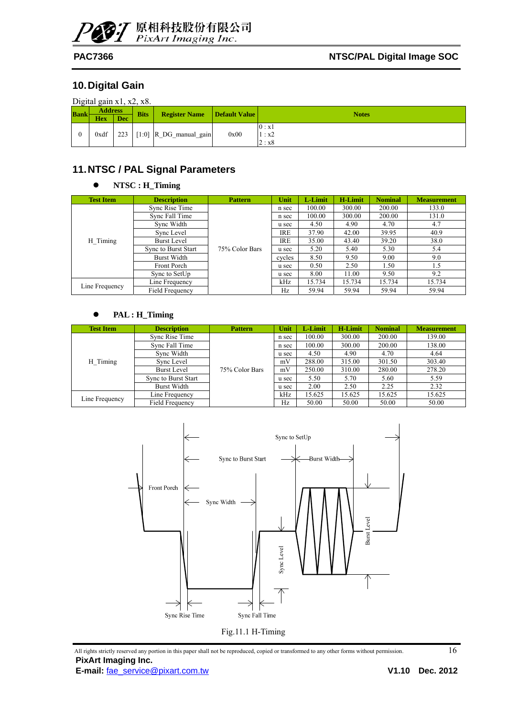![](_page_15_Picture_0.jpeg)

### **10. Digital Gain**

| Digital gain $x1$ , $x2$ , $x8$ . |  |  |
|-----------------------------------|--|--|
|                                   |  |  |

| <b>Bank</b> | <b>Address</b><br><b>Hex</b> | <b>Dec</b> | <b>Bits</b> | <b>Register Name</b>         | Default Value | <b>Notes</b>            |
|-------------|------------------------------|------------|-------------|------------------------------|---------------|-------------------------|
|             | 0xdf                         |            |             | 223 $[1:0]$ R_DG_manual_gain | 0x00          | 0: x1<br>1: x2<br>2: x8 |

### **11. NTSC / PAL Signal Parameters**

#### z **NTSC : H\_Timing**

| <b>Test Item</b> | <b>Description</b>         | <b>Pattern</b> | Unit       | L-Limit | <b>H-Limit</b> | <b>Nominal</b> | <b>Measurement</b> |
|------------------|----------------------------|----------------|------------|---------|----------------|----------------|--------------------|
|                  | Sync Rise Time             | 75% Color Bars | n sec      | 100.00  | 300.00         | 200.00         | 133.0              |
|                  | Sync Fall Time             |                | n sec      | 100.00  | 300.00         | 200.00         | 131.0              |
|                  | Sync Width                 |                | u sec      | 4.50    | 4.90           | 4.70           | 4.7                |
|                  | Sync Level                 |                | <b>IRE</b> | 37.90   | 42.00          | 39.95          | 40.9               |
| H Timing         | Burst Level                |                | <b>IRE</b> | 35.00   | 43.40          | 39.20          | 38.0               |
|                  | <b>Sync to Burst Start</b> |                | u sec      | 5.20    | 5.40           | 5.30           | 5.4                |
|                  | <b>Burst Width</b>         |                | cycles     | 8.50    | 9.50           | 9.00           | 9.0                |
|                  | <b>Front Porch</b>         |                | u sec      | 0.50    | 2.50           | 1.50           | 1.5                |
|                  | Sync to SetUp              |                | u sec      | 8.00    | 11.00          | 9.50           | 9.2                |
| Line Frequency   | Line Frequency             |                | kHz        | 15.734  | 15.734         | 15.734         | 15.734             |
|                  | Field Frequency            |                | Hz         | 59.94   | 59.94          | 59.94          | 59.94              |

#### z **PAL : H\_Timing**

| <b>Test Item</b> | <b>Description</b>     | <b>Pattern</b> | Unit  | L-Limit | <b>H-Limit</b> | <b>Nominal</b> | <b>Measurement</b> |
|------------------|------------------------|----------------|-------|---------|----------------|----------------|--------------------|
|                  | Sync Rise Time         |                | n sec | 100.00  | 300.00         | 200.00         | 139.00             |
|                  | Sync Fall Time         |                | n sec | 100.00  | 300.00         | 200.00         | 138.00             |
|                  | Sync Width             | 75% Color Bars | u sec | 4.50    | 4.90           | 4.70           | 4.64               |
| H Timing         | Sync Level             |                | mV    | 288.00  | 315.00         | 301.50         | 303.40             |
|                  | <b>Burst Level</b>     |                | mV    | 250.00  | 310.00         | 280.00         | 278.20             |
|                  | Sync to Burst Start    |                | u sec | 5.50    | 5.70           | 5.60           | 5.59               |
|                  | Burst Width            |                | u sec | 2.00    | 2.50           | 2.25           | 2.32               |
|                  | Line Frequency         |                | kHz   | 15.625  | 15.625         | 15.625         | 15.625             |
| Line Frequency   | <b>Field Frequency</b> |                | Hz    | 50.00   | 50.00          | 50.00          | 50.00              |

![](_page_15_Figure_11.jpeg)

All rights strictly reserved any portion in this paper shall not be reproduced, copied or transformed to any other forms without permission.  $16$ **PixArt Imaging Inc.**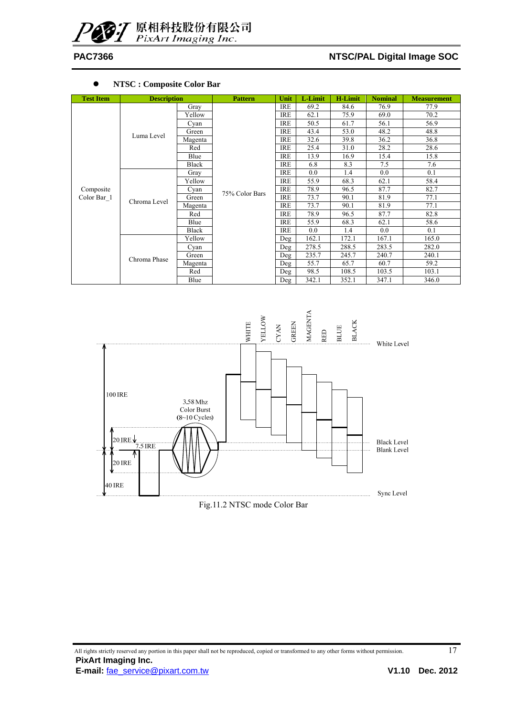#### PAC7366 **NTSC/PAL Digital Image SOC**

#### z **NTSC : Composite Color Bar**

| <b>Test Item</b> | <b>Description</b> |         | <b>Pattern</b> | Unit       | L-Limit | <b>H-Limit</b> | <b>Nominal</b> | <b>Measurement</b> |
|------------------|--------------------|---------|----------------|------------|---------|----------------|----------------|--------------------|
|                  |                    | Gray    |                | <b>IRE</b> | 69.2    | 84.6           | 76.9           | 77.9               |
|                  |                    | Yellow  |                | <b>IRE</b> | 62.1    | 75.9           | 69.0           | 70.2               |
|                  |                    | Cyan    |                | <b>IRE</b> | 50.5    | 61.7           | 56.1           | 56.9               |
|                  | Luma Level         | Green   |                | IRE        | 43.4    | 53.0           | 48.2           | 48.8               |
|                  |                    | Magenta |                | <b>IRE</b> | 32.6    | 39.8           | 36.2           | 36.8               |
|                  |                    | Red     |                | <b>IRE</b> | 25.4    | 31.0           | 28.2           | 28.6               |
|                  |                    | Blue    |                | IRE        | 13.9    | 16.9           | 15.4           | 15.8               |
|                  |                    | Black   |                | <b>IRE</b> | 6.8     | 8.3            | 7.5            | 7.6                |
|                  |                    | Gray    |                | <b>IRE</b> | 0.0     | 1.4            | 0.0            | 0.1                |
|                  |                    | Yellow  | 75% Color Bars | <b>IRE</b> | 55.9    | 68.3           | 62.1           | 58.4               |
| Composite        |                    | Cyan    |                | <b>IRE</b> | 78.9    | 96.5           | 87.7           | 82.7               |
| Color Bar 1      | Chroma Level       | Green   |                | IRE        | 73.7    | 90.1           | 81.9           | 77.1               |
|                  |                    | Magenta |                | <b>IRE</b> | 73.7    | 90.1           | 81.9           | 77.1               |
|                  |                    | Red     |                | <b>IRE</b> | 78.9    | 96.5           | 87.7           | 82.8               |
|                  |                    | Blue    |                | IRE        | 55.9    | 68.3           | 62.1           | 58.6               |
|                  |                    | Black   |                | <b>IRE</b> | 0.0     | 1.4            | 0.0            | 0.1                |
|                  |                    | Yellow  |                | Deg        | 162.1   | 172.1          | 167.1          | 165.0              |
|                  |                    | Cyan    |                | Deg        | 278.5   | 288.5          | 283.5          | 282.0              |
|                  | Chroma Phase       | Green   |                | Deg        | 235.7   | 245.7          | 240.7          | 240.1              |
|                  |                    | Magenta |                | Deg        | 55.7    | 65.7           | 60.7           | 59.2               |
|                  |                    | Red     |                | Deg        | 98.5    | 108.5          | 103.5          | 103.1              |
|                  |                    | Blue    |                | Deg        | 342.1   | 352.1          | 347.1          | 346.0              |

![](_page_16_Figure_5.jpeg)

Fig.11.2 NTSC mode Color Bar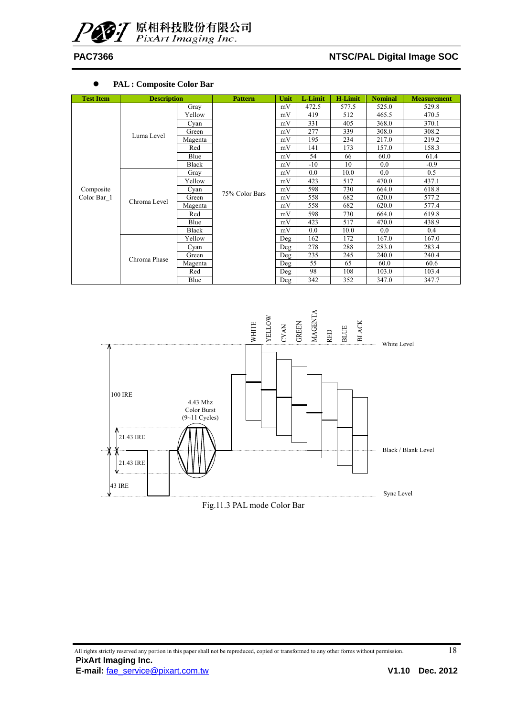#### PAC7366 **NTSC/PAL Digital Image SOC**

#### z **PAL : Composite Color Bar**

| <b>Test Item</b> | <b>Description</b> |         | <b>Pattern</b> | Unit | L-Limit | <b>H-Limit</b> | <b>Nominal</b> | <b>Measurement</b> |
|------------------|--------------------|---------|----------------|------|---------|----------------|----------------|--------------------|
|                  |                    | Gray    |                | mV   | 472.5   | 577.5          | 525.0          | 529.8              |
|                  |                    | Yellow  |                | mV   | 419     | 512            | 465.5          | 470.5              |
|                  |                    | Cyan    |                | mV   | 331     | 405            | 368.0          | 370.1              |
|                  | Luma Level         | Green   |                | mV   | 277     | 339            | 308.0          | 308.2              |
|                  |                    | Magenta |                | mV   | 195     | 234            | 217.0          | 219.2              |
|                  |                    | Red     |                | mV   | 141     | 173            | 157.0          | 158.3              |
|                  |                    | Blue    |                | mV   | 54      | 66             | 60.0           | 61.4               |
|                  |                    | Black   |                | mV   | $-10$   | 10             | 0.0            | $-0.9$             |
|                  |                    | Gray    |                | mV   | 0.0     | 10.0           | 0.0            | 0.5                |
|                  |                    | Yellow  | 75% Color Bars | mV   | 423     | 517            | 470.0          | 437.1              |
| Composite        |                    | Cyan    |                | mV   | 598     | 730            | 664.0          | 618.8              |
| Color Bar 1      | Chroma Level       | Green   |                | mV   | 558     | 682            | 620.0          | 577.2              |
|                  |                    | Magenta |                | mV   | 558     | 682            | 620.0          | 577.4              |
|                  |                    | Red     |                | mV   | 598     | 730            | 664.0          | 619.8              |
|                  |                    | Blue    |                | mV   | 423     | 517            | 470.0          | 438.9              |
|                  |                    | Black   |                | mV   | 0.0     | 10.0           | 0.0            | 0.4                |
|                  |                    | Yellow  |                | Deg  | 162     | 172            | 167.0          | 167.0              |
|                  |                    | Cyan    |                | Deg  | 278     | 288            | 283.0          | 283.4              |
|                  | Chroma Phase       | Green   |                | Deg  | 235     | 245            | 240.0          | 240.4              |
|                  |                    | Magenta |                | Deg  | 55      | 65             | 60.0           | 60.6               |
|                  |                    | Red     |                | Deg  | 98      | 108            | 103.0          | 103.4              |
|                  |                    | Blue    |                | Deg  | 342     | 352            | 347.0          | 347.7              |

![](_page_17_Figure_5.jpeg)

Fig.11.3 PAL mode Color Bar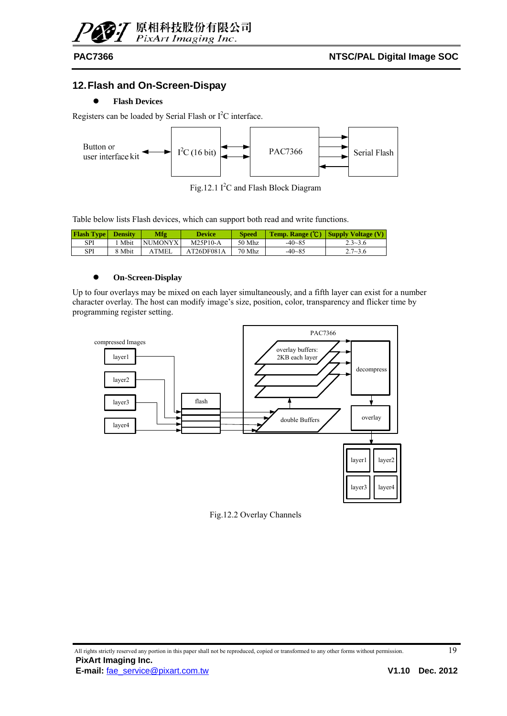![](_page_18_Picture_0.jpeg)

### **12. Flash and On-Screen-Dispay**

#### z **Flash Devices**

Registers can be loaded by Serial Flash or  $I<sup>2</sup>C$  interface.

![](_page_18_Figure_6.jpeg)

Fig.12.1  $I^2C$  and Flash Block Diagram

Table below lists Flash devices, which can support both read and write functions.

| <b>Flash Type Density</b> |        | Mfg          | <b>Device</b> | <b>Speed</b> |            | <b>Temp. Range (°C)</b> Supply Voltage (V) |
|---------------------------|--------|--------------|---------------|--------------|------------|--------------------------------------------|
| SPI                       | Mbit   | NUMONYX      | $M25P10-A$    | 50 Mhz       | $-40 - 85$ | $2.3 - 3.6$                                |
| SPI                       | 8 Mbit | <b>ATMEL</b> | AT26DF081A    | 70 Mhz       | $-40 - 85$ | $2.7 - 3.6$                                |

#### z **On-Screen-Display**

Up to four overlays may be mixed on each layer simultaneously, and a fifth layer can exist for a number character overlay. The host can modify image's size, position, color, transparency and flicker time by programming register setting.

![](_page_18_Figure_12.jpeg)

Fig.12.2 Overlay Channels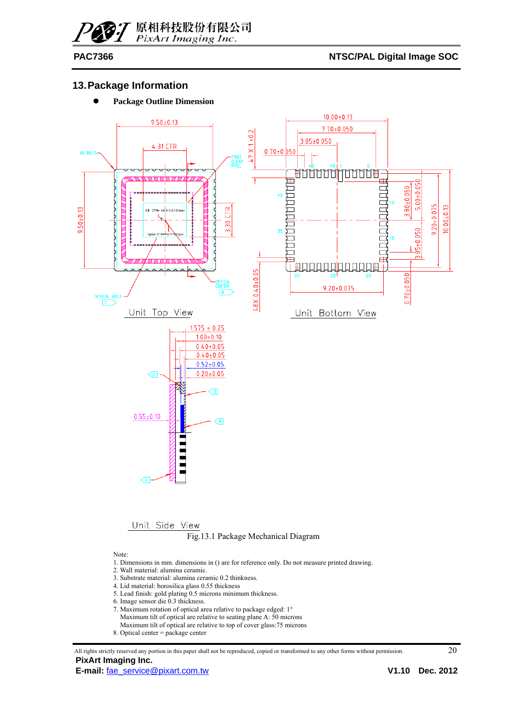#### PAC7366 **NTSC/PAL Digital Image SOC**

#### **13. Package Information**

**•** Package Outline Dimension

![](_page_19_Figure_5.jpeg)

## Unit Side View<br>Fig.13.1 Package Mechanical Diagram

Note:

- 1. Dimensions in mm. dimensions in () are for reference only. Do not measure printed drawing.
- 2. Wall material: alumina ceramic.
- 3. Substrate material: alumina ceramic 0.2 thinkness.
- 4. Lid material: borosilica glass 0.55 thickness
- 5. Lead finish: gold plating 0.5 microns minimum thickness.
- 6. Image sensor die 0.3 thickness.
- 7. Maximum rotation of optical area relative to package edged: 1° Maximum tilt of optical are relative to seating plane A: 50 microns Maximum tilt of optical are relative to top of cover glass:75 microns
- 8. Optical center  $=$  package center

All rights strictly reserved any portion in this paper shall not be reproduced, copied or transformed to any other forms without permission. 20 **PixArt Imaging Inc.**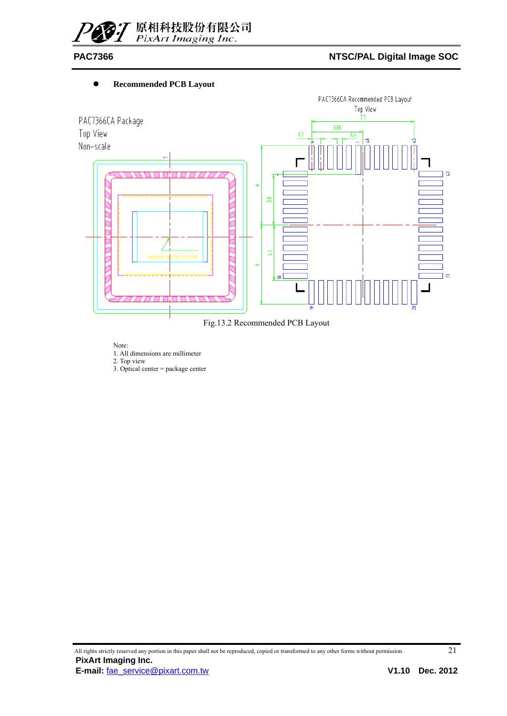![](_page_20_Picture_0.jpeg)

#### **•** Recommended PCB Layout

![](_page_20_Figure_4.jpeg)

Fig.13.2 Recommended PCB Layout

Note: 1. All dimensions are millimeter

2. Top view

3. Optical center = package center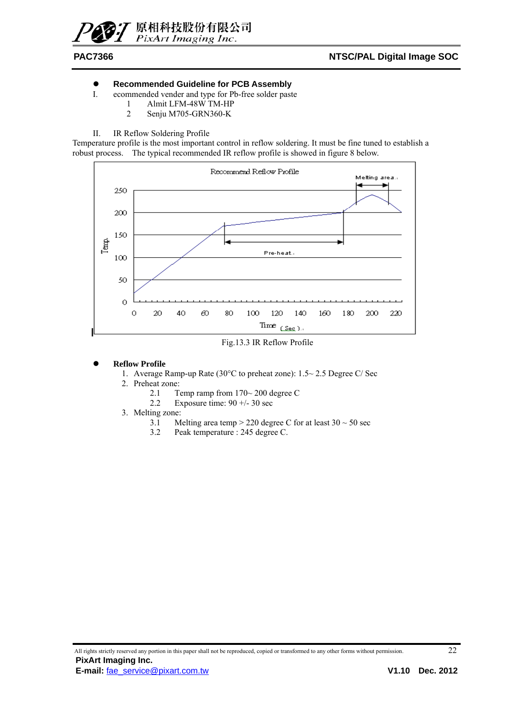![](_page_21_Picture_0.jpeg)

#### **•** Recommended Guideline for PCB Assembly

- I. ecommended vender and type for Pb-free solder paste
	- 1 Almit LFM-48W TM-HP
	- 2 Senju M705-GRN360-K
- II. IR Reflow Soldering Profile

Temperature profile is the most important control in reflow soldering. It must be fine tuned to establish a robust process. The typical recommended IR reflow profile is showed in figure 8 below.

![](_page_21_Figure_9.jpeg)

Fig.13.3 IR Reflow Profile

#### **Reflow Profile**

- 1. Average Ramp-up Rate (30°C to preheat zone): 1.5~ 2.5 Degree C/ Sec
- 2. Preheat zone:
	- 2.1 Temp ramp from 170~ 200 degree C
	- 2.2 Exposure time:  $90 + (-30 \text{ sec})$
- 3. Melting zone:
	- 3.1 Melting area temp > 220 degree C for at least  $30 \sim 50$  sec
	- 3.2 Peak temperature : 245 degree C.